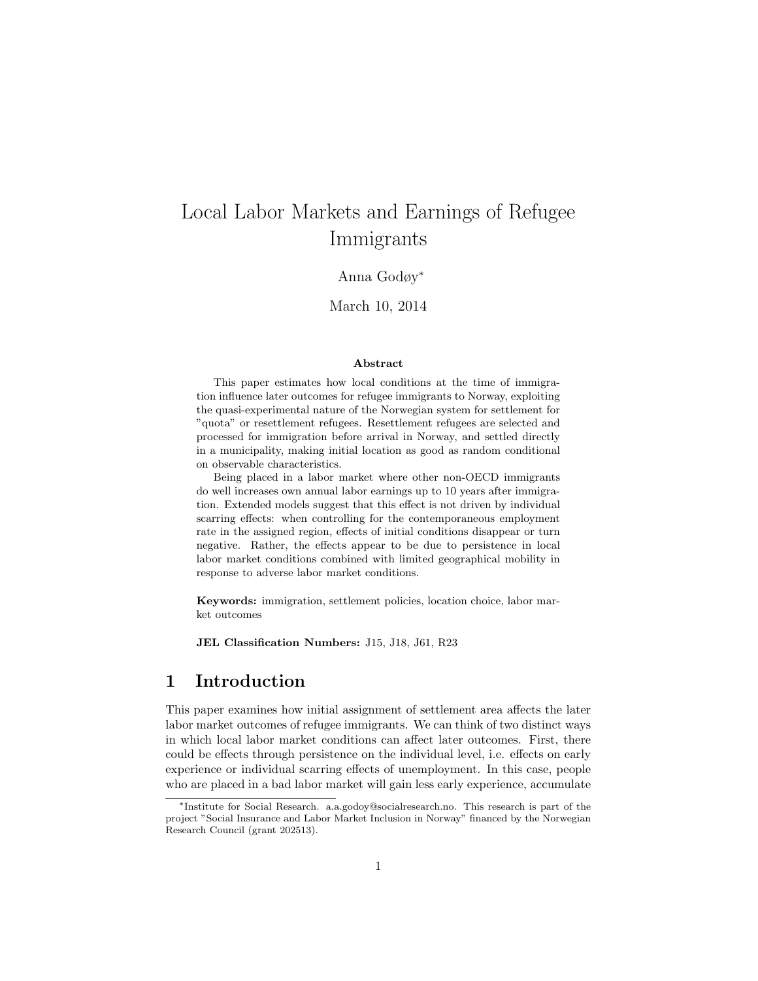# Local Labor Markets and Earnings of Refugee Immigrants

#### Anna Godøy<sup>∗</sup>

March 10, 2014

#### Abstract

This paper estimates how local conditions at the time of immigration influence later outcomes for refugee immigrants to Norway, exploiting the quasi-experimental nature of the Norwegian system for settlement for "quota" or resettlement refugees. Resettlement refugees are selected and processed for immigration before arrival in Norway, and settled directly in a municipality, making initial location as good as random conditional on observable characteristics.

Being placed in a labor market where other non-OECD immigrants do well increases own annual labor earnings up to 10 years after immigration. Extended models suggest that this effect is not driven by individual scarring effects: when controlling for the contemporaneous employment rate in the assigned region, effects of initial conditions disappear or turn negative. Rather, the effects appear to be due to persistence in local labor market conditions combined with limited geographical mobility in response to adverse labor market conditions.

Keywords: immigration, settlement policies, location choice, labor market outcomes

JEL Classification Numbers: J15, J18, J61, R23

# 1 Introduction

This paper examines how initial assignment of settlement area affects the later labor market outcomes of refugee immigrants. We can think of two distinct ways in which local labor market conditions can affect later outcomes. First, there could be effects through persistence on the individual level, i.e. effects on early experience or individual scarring effects of unemployment. In this case, people who are placed in a bad labor market will gain less early experience, accumulate

<sup>∗</sup>Institute for Social Research. a.a.godoy@socialresearch.no. This research is part of the project "Social Insurance and Labor Market Inclusion in Norway" financed by the Norwegian Research Council (grant 202513).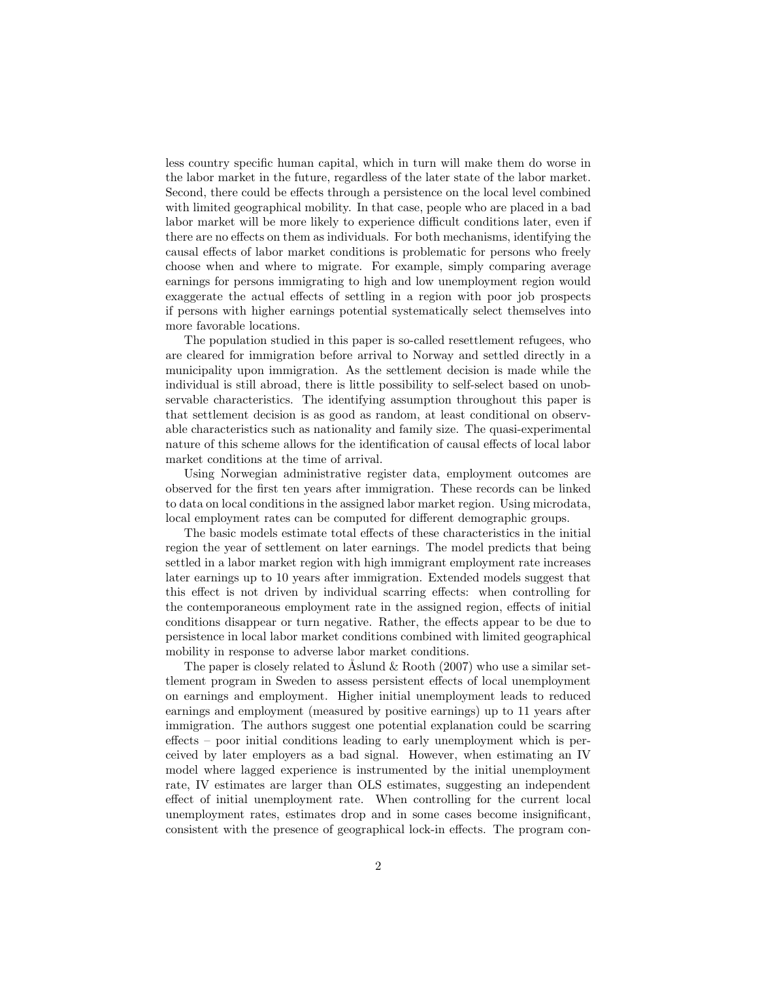less country specific human capital, which in turn will make them do worse in the labor market in the future, regardless of the later state of the labor market. Second, there could be effects through a persistence on the local level combined with limited geographical mobility. In that case, people who are placed in a bad labor market will be more likely to experience difficult conditions later, even if there are no effects on them as individuals. For both mechanisms, identifying the causal effects of labor market conditions is problematic for persons who freely choose when and where to migrate. For example, simply comparing average earnings for persons immigrating to high and low unemployment region would exaggerate the actual effects of settling in a region with poor job prospects if persons with higher earnings potential systematically select themselves into more favorable locations.

The population studied in this paper is so-called resettlement refugees, who are cleared for immigration before arrival to Norway and settled directly in a municipality upon immigration. As the settlement decision is made while the individual is still abroad, there is little possibility to self-select based on unobservable characteristics. The identifying assumption throughout this paper is that settlement decision is as good as random, at least conditional on observable characteristics such as nationality and family size. The quasi-experimental nature of this scheme allows for the identification of causal effects of local labor market conditions at the time of arrival.

Using Norwegian administrative register data, employment outcomes are observed for the first ten years after immigration. These records can be linked to data on local conditions in the assigned labor market region. Using microdata, local employment rates can be computed for different demographic groups.

The basic models estimate total effects of these characteristics in the initial region the year of settlement on later earnings. The model predicts that being settled in a labor market region with high immigrant employment rate increases later earnings up to 10 years after immigration. Extended models suggest that this effect is not driven by individual scarring effects: when controlling for the contemporaneous employment rate in the assigned region, effects of initial conditions disappear or turn negative. Rather, the effects appear to be due to persistence in local labor market conditions combined with limited geographical mobility in response to adverse labor market conditions.

The paper is closely related to  $\AA$ slund  $\&$  Rooth (2007) who use a similar settlement program in Sweden to assess persistent effects of local unemployment on earnings and employment. Higher initial unemployment leads to reduced earnings and employment (measured by positive earnings) up to 11 years after immigration. The authors suggest one potential explanation could be scarring effects – poor initial conditions leading to early unemployment which is perceived by later employers as a bad signal. However, when estimating an IV model where lagged experience is instrumented by the initial unemployment rate, IV estimates are larger than OLS estimates, suggesting an independent effect of initial unemployment rate. When controlling for the current local unemployment rates, estimates drop and in some cases become insignificant, consistent with the presence of geographical lock-in effects. The program con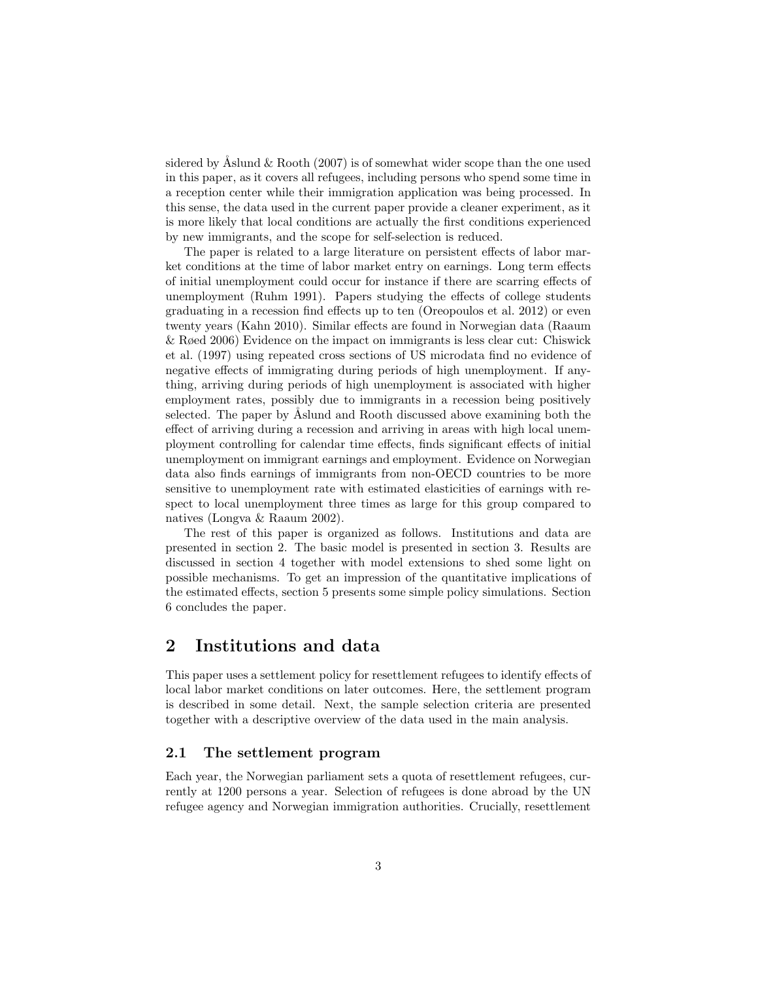sidered by Åslund  $&$  Rooth (2007) is of somewhat wider scope than the one used in this paper, as it covers all refugees, including persons who spend some time in a reception center while their immigration application was being processed. In this sense, the data used in the current paper provide a cleaner experiment, as it is more likely that local conditions are actually the first conditions experienced by new immigrants, and the scope for self-selection is reduced.

The paper is related to a large literature on persistent effects of labor market conditions at the time of labor market entry on earnings. Long term effects of initial unemployment could occur for instance if there are scarring effects of unemployment (Ruhm 1991). Papers studying the effects of college students graduating in a recession find effects up to ten (Oreopoulos et al. 2012) or even twenty years (Kahn 2010). Similar effects are found in Norwegian data (Raaum & Røed 2006) Evidence on the impact on immigrants is less clear cut: Chiswick et al. (1997) using repeated cross sections of US microdata find no evidence of negative effects of immigrating during periods of high unemployment. If anything, arriving during periods of high unemployment is associated with higher employment rates, possibly due to immigrants in a recession being positively selected. The paper by Aslund and Rooth discussed above examining both the effect of arriving during a recession and arriving in areas with high local unemployment controlling for calendar time effects, finds significant effects of initial unemployment on immigrant earnings and employment. Evidence on Norwegian data also finds earnings of immigrants from non-OECD countries to be more sensitive to unemployment rate with estimated elasticities of earnings with respect to local unemployment three times as large for this group compared to natives (Longva & Raaum 2002).

The rest of this paper is organized as follows. Institutions and data are presented in section 2. The basic model is presented in section 3. Results are discussed in section 4 together with model extensions to shed some light on possible mechanisms. To get an impression of the quantitative implications of the estimated effects, section 5 presents some simple policy simulations. Section 6 concludes the paper.

#### 2 Institutions and data

This paper uses a settlement policy for resettlement refugees to identify effects of local labor market conditions on later outcomes. Here, the settlement program is described in some detail. Next, the sample selection criteria are presented together with a descriptive overview of the data used in the main analysis.

#### 2.1 The settlement program

Each year, the Norwegian parliament sets a quota of resettlement refugees, currently at 1200 persons a year. Selection of refugees is done abroad by the UN refugee agency and Norwegian immigration authorities. Crucially, resettlement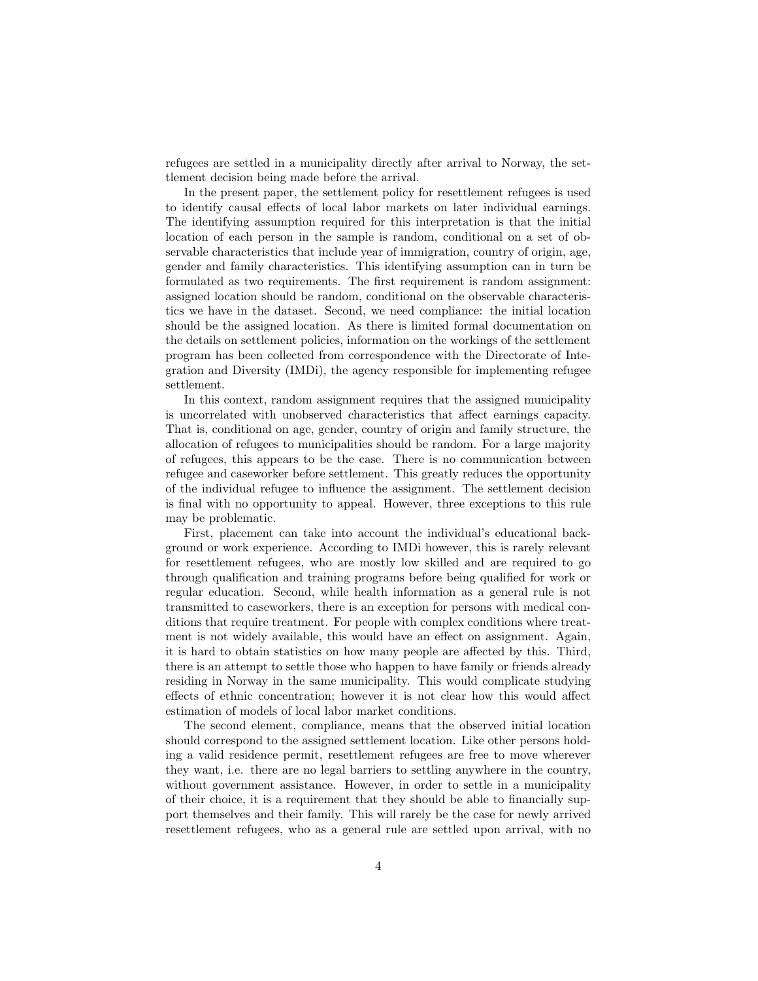refugees are settled in a municipality directly after arrival to Norway, the settlement decision being made before the arrival.

In the present paper, the settlement policy for resettlement refugees is used to identify causal effects of local labor markets on later individual earnings. The identifying assumption required for this interpretation is that the initial location of each person in the sample is random, conditional on a set of observable characteristics that include year of immigration, country of origin, age, gender and family characteristics. This identifying assumption can in turn be formulated as two requirements. The first requirement is random assignment: assigned location should be random, conditional on the observable characteristics we have in the dataset. Second, we need compliance: the initial location should be the assigned location. As there is limited formal documentation on the details on settlement policies, information on the workings of the settlement program has been collected from correspondence with the Directorate of Integration and Diversity (IMDi), the agency responsible for implementing refugee settlement.

In this context, random assignment requires that the assigned municipality is uncorrelated with unobserved characteristics that affect earnings capacity. That is, conditional on age, gender, country of origin and family structure, the allocation of refugees to municipalities should be random. For a large majority of refugees, this appears to be the case. There is no communication between refugee and caseworker before settlement. This greatly reduces the opportunity of the individual refugee to influence the assignment. The settlement decision is final with no opportunity to appeal. However, three exceptions to this rule may be problematic.

First, placement can take into account the individual's educational background or work experience. According to IMDi however, this is rarely relevant for resettlement refugees, who are mostly low skilled and are required to go through qualification and training programs before being qualified for work or regular education. Second, while health information as a general rule is not transmitted to caseworkers, there is an exception for persons with medical conditions that require treatment. For people with complex conditions where treatment is not widely available, this would have an effect on assignment. Again, it is hard to obtain statistics on how many people are affected by this. Third, there is an attempt to settle those who happen to have family or friends already residing in Norway in the same municipality. This would complicate studying effects of ethnic concentration; however it is not clear how this would affect estimation of models of local labor market conditions.

The second element, compliance, means that the observed initial location should correspond to the assigned settlement location. Like other persons holding a valid residence permit, resettlement refugees are free to move wherever they want, i.e. there are no legal barriers to settling anywhere in the country, without government assistance. However, in order to settle in a municipality of their choice, it is a requirement that they should be able to financially support themselves and their family. This will rarely be the case for newly arrived resettlement refugees, who as a general rule are settled upon arrival, with no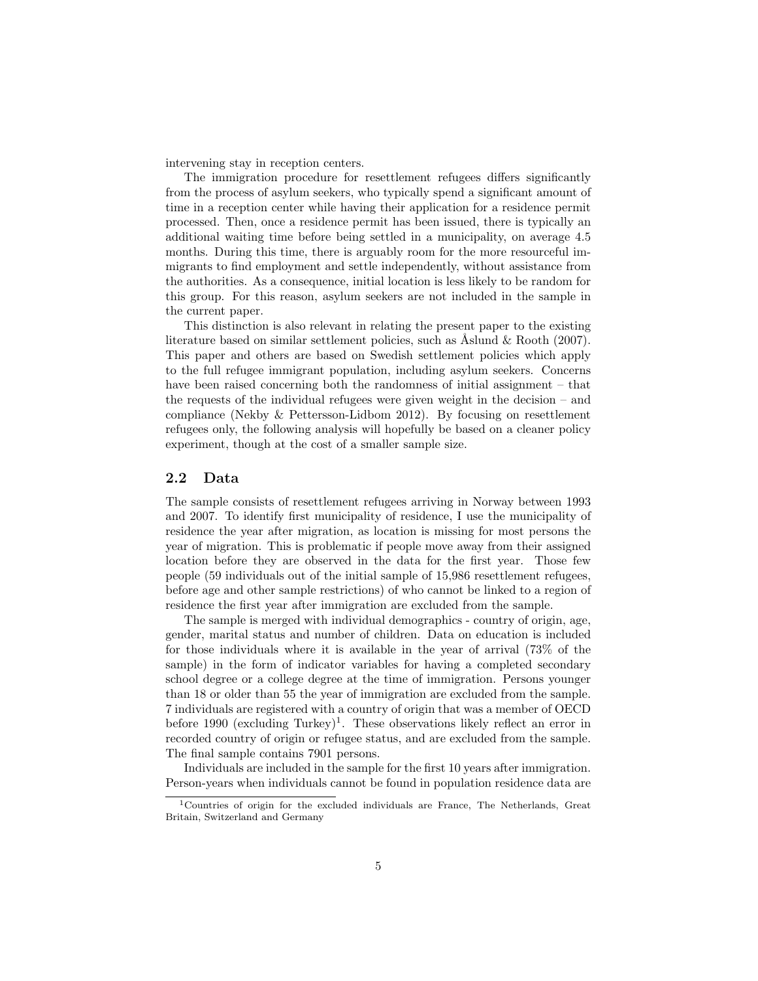intervening stay in reception centers.

The immigration procedure for resettlement refugees differs significantly from the process of asylum seekers, who typically spend a significant amount of time in a reception center while having their application for a residence permit processed. Then, once a residence permit has been issued, there is typically an additional waiting time before being settled in a municipality, on average 4.5 months. During this time, there is arguably room for the more resourceful immigrants to find employment and settle independently, without assistance from the authorities. As a consequence, initial location is less likely to be random for this group. For this reason, asylum seekers are not included in the sample in the current paper.

This distinction is also relevant in relating the present paper to the existing literature based on similar settlement policies, such as  $\Lambda$ slund & Rooth (2007). This paper and others are based on Swedish settlement policies which apply to the full refugee immigrant population, including asylum seekers. Concerns have been raised concerning both the randomness of initial assignment – that the requests of the individual refugees were given weight in the decision – and compliance (Nekby & Pettersson-Lidbom 2012). By focusing on resettlement refugees only, the following analysis will hopefully be based on a cleaner policy experiment, though at the cost of a smaller sample size.

#### 2.2 Data

The sample consists of resettlement refugees arriving in Norway between 1993 and 2007. To identify first municipality of residence, I use the municipality of residence the year after migration, as location is missing for most persons the year of migration. This is problematic if people move away from their assigned location before they are observed in the data for the first year. Those few people (59 individuals out of the initial sample of 15,986 resettlement refugees, before age and other sample restrictions) of who cannot be linked to a region of residence the first year after immigration are excluded from the sample.

The sample is merged with individual demographics - country of origin, age, gender, marital status and number of children. Data on education is included for those individuals where it is available in the year of arrival (73% of the sample) in the form of indicator variables for having a completed secondary school degree or a college degree at the time of immigration. Persons younger than 18 or older than 55 the year of immigration are excluded from the sample. 7 individuals are registered with a country of origin that was a member of OECD before 1990 (excluding Turkey)<sup>1</sup>. These observations likely reflect an error in recorded country of origin or refugee status, and are excluded from the sample. The final sample contains 7901 persons.

Individuals are included in the sample for the first 10 years after immigration. Person-years when individuals cannot be found in population residence data are

<sup>1</sup>Countries of origin for the excluded individuals are France, The Netherlands, Great Britain, Switzerland and Germany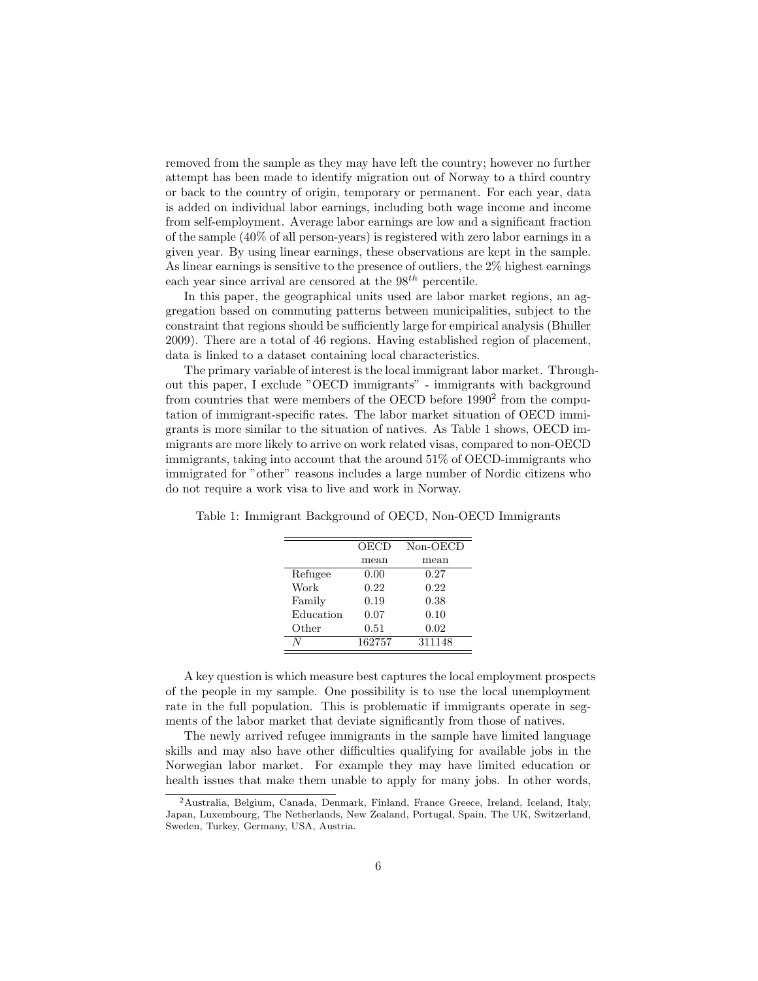removed from the sample as they may have left the country; however no further attempt has been made to identify migration out of Norway to a third country or back to the country of origin, temporary or permanent. For each year, data is added on individual labor earnings, including both wage income and income from self-employment. Average labor earnings are low and a significant fraction of the sample (40% of all person-years) is registered with zero labor earnings in a given year. By using linear earnings, these observations are kept in the sample. As linear earnings is sensitive to the presence of outliers, the 2% highest earnings each year since arrival are censored at the  $98^{th}$  percentile.

In this paper, the geographical units used are labor market regions, an aggregation based on commuting patterns between municipalities, subject to the constraint that regions should be sufficiently large for empirical analysis (Bhuller 2009). There are a total of 46 regions. Having established region of placement, data is linked to a dataset containing local characteristics.

The primary variable of interest is the local immigrant labor market. Throughout this paper, I exclude "OECD immigrants" - immigrants with background from countries that were members of the OECD before 1990<sup>2</sup> from the computation of immigrant-specific rates. The labor market situation of OECD immigrants is more similar to the situation of natives. As Table 1 shows, OECD immigrants are more likely to arrive on work related visas, compared to non-OECD immigrants, taking into account that the around 51% of OECD-immigrants who immigrated for "other" reasons includes a large number of Nordic citizens who do not require a work visa to live and work in Norway.

|           | OECD   | $Non-OECD$ |
|-----------|--------|------------|
|           | mean   | mean       |
| Refugee   | 0.00   | 0.27       |
| Work      | 0.22   | 0.22       |
| Family    | 0.19   | 0.38       |
| Education | 0.07   | 0.10       |
| Other     | 0.51   | 0.02       |
|           | 162757 | 311148     |

Table 1: Immigrant Background of OECD, Non-OECD Immigrants

A key question is which measure best captures the local employment prospects of the people in my sample. One possibility is to use the local unemployment rate in the full population. This is problematic if immigrants operate in segments of the labor market that deviate significantly from those of natives.

The newly arrived refugee immigrants in the sample have limited language skills and may also have other difficulties qualifying for available jobs in the Norwegian labor market. For example they may have limited education or health issues that make them unable to apply for many jobs. In other words,

<sup>2</sup>Australia, Belgium, Canada, Denmark, Finland, France Greece, Ireland, Iceland, Italy, Japan, Luxembourg, The Netherlands, New Zealand, Portugal, Spain, The UK, Switzerland, Sweden, Turkey, Germany, USA, Austria.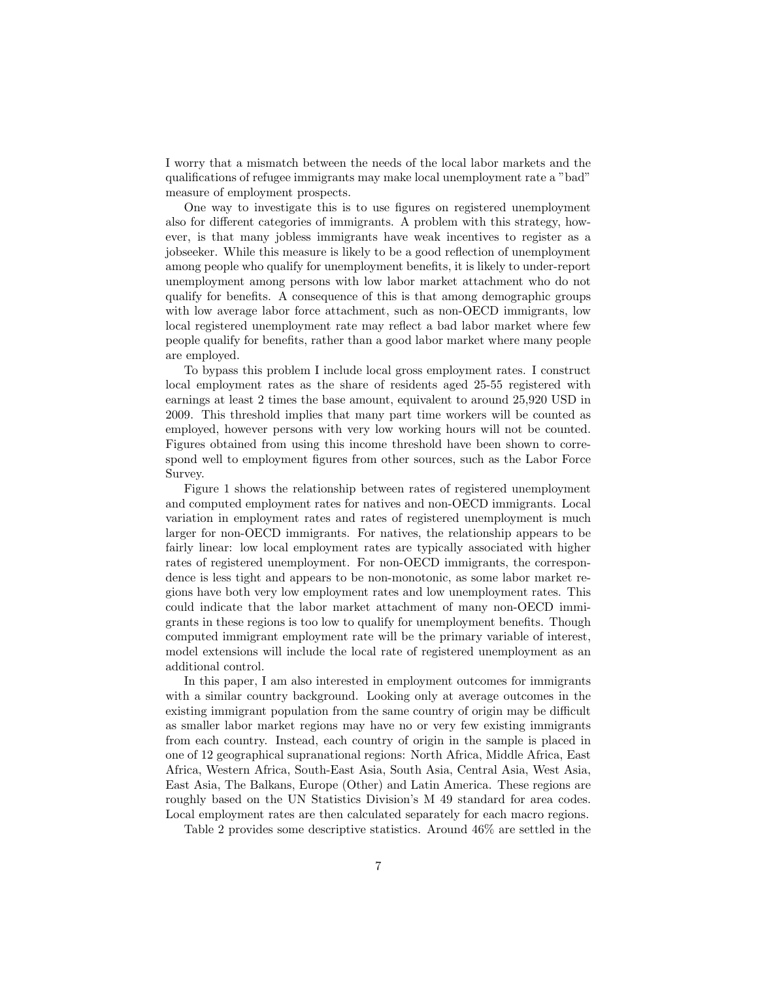I worry that a mismatch between the needs of the local labor markets and the qualifications of refugee immigrants may make local unemployment rate a "bad" measure of employment prospects.

One way to investigate this is to use figures on registered unemployment also for different categories of immigrants. A problem with this strategy, however, is that many jobless immigrants have weak incentives to register as a jobseeker. While this measure is likely to be a good reflection of unemployment among people who qualify for unemployment benefits, it is likely to under-report unemployment among persons with low labor market attachment who do not qualify for benefits. A consequence of this is that among demographic groups with low average labor force attachment, such as non-OECD immigrants, low local registered unemployment rate may reflect a bad labor market where few people qualify for benefits, rather than a good labor market where many people are employed.

To bypass this problem I include local gross employment rates. I construct local employment rates as the share of residents aged 25-55 registered with earnings at least 2 times the base amount, equivalent to around 25,920 USD in 2009. This threshold implies that many part time workers will be counted as employed, however persons with very low working hours will not be counted. Figures obtained from using this income threshold have been shown to correspond well to employment figures from other sources, such as the Labor Force Survey.

Figure 1 shows the relationship between rates of registered unemployment and computed employment rates for natives and non-OECD immigrants. Local variation in employment rates and rates of registered unemployment is much larger for non-OECD immigrants. For natives, the relationship appears to be fairly linear: low local employment rates are typically associated with higher rates of registered unemployment. For non-OECD immigrants, the correspondence is less tight and appears to be non-monotonic, as some labor market regions have both very low employment rates and low unemployment rates. This could indicate that the labor market attachment of many non-OECD immigrants in these regions is too low to qualify for unemployment benefits. Though computed immigrant employment rate will be the primary variable of interest, model extensions will include the local rate of registered unemployment as an additional control.

In this paper, I am also interested in employment outcomes for immigrants with a similar country background. Looking only at average outcomes in the existing immigrant population from the same country of origin may be difficult as smaller labor market regions may have no or very few existing immigrants from each country. Instead, each country of origin in the sample is placed in one of 12 geographical supranational regions: North Africa, Middle Africa, East Africa, Western Africa, South-East Asia, South Asia, Central Asia, West Asia, East Asia, The Balkans, Europe (Other) and Latin America. These regions are roughly based on the UN Statistics Division's M 49 standard for area codes. Local employment rates are then calculated separately for each macro regions.

Table 2 provides some descriptive statistics. Around 46% are settled in the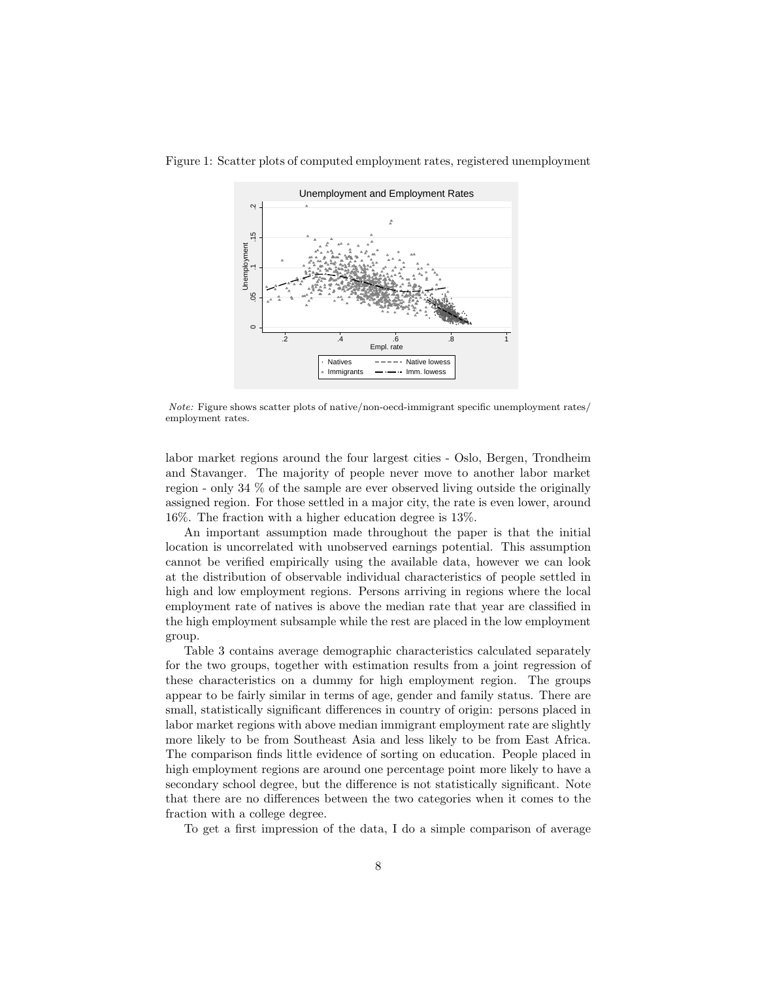

Figure 1: Scatter plots of computed employment rates, registered unemployment

Note: Figure shows scatter plots of native/non-oecd-immigrant specific unemployment rates/ employment rates.

labor market regions around the four largest cities - Oslo, Bergen, Trondheim and Stavanger. The majority of people never move to another labor market region - only 34 % of the sample are ever observed living outside the originally assigned region. For those settled in a major city, the rate is even lower, around 16%. The fraction with a higher education degree is 13%.

An important assumption made throughout the paper is that the initial location is uncorrelated with unobserved earnings potential. This assumption cannot be verified empirically using the available data, however we can look at the distribution of observable individual characteristics of people settled in high and low employment regions. Persons arriving in regions where the local employment rate of natives is above the median rate that year are classified in the high employment subsample while the rest are placed in the low employment group.

Table 3 contains average demographic characteristics calculated separately for the two groups, together with estimation results from a joint regression of these characteristics on a dummy for high employment region. The groups appear to be fairly similar in terms of age, gender and family status. There are small, statistically significant differences in country of origin: persons placed in labor market regions with above median immigrant employment rate are slightly more likely to be from Southeast Asia and less likely to be from East Africa. The comparison finds little evidence of sorting on education. People placed in high employment regions are around one percentage point more likely to have a secondary school degree, but the difference is not statistically significant. Note that there are no differences between the two categories when it comes to the fraction with a college degree.

To get a first impression of the data, I do a simple comparison of average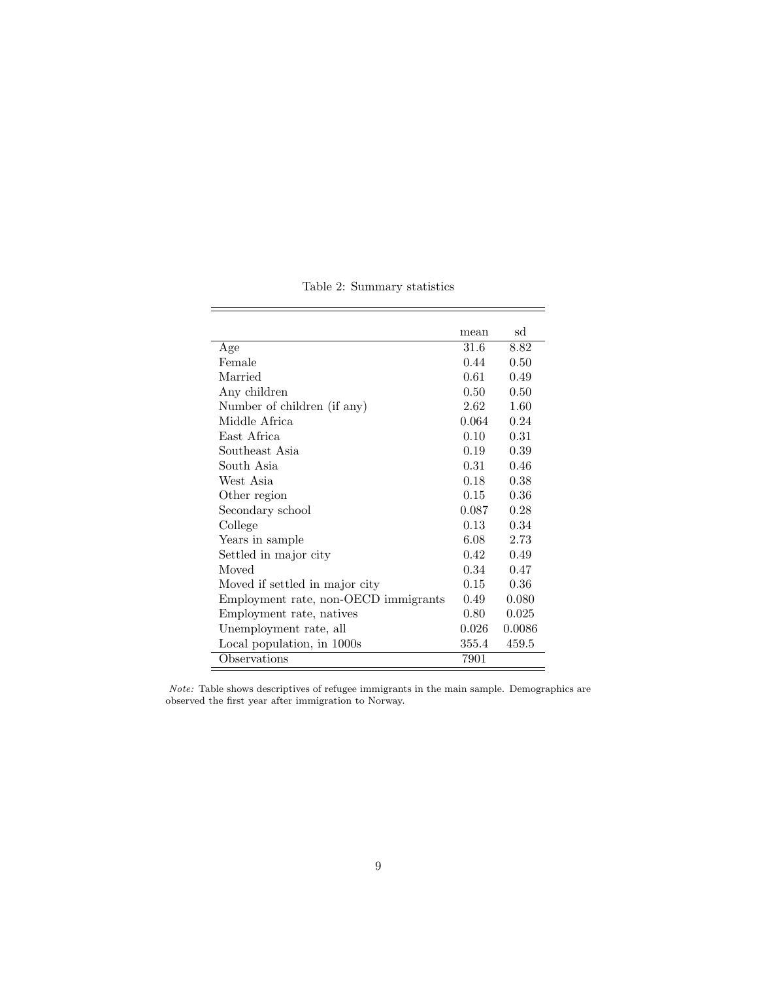|                                      | mean  | sd     |
|--------------------------------------|-------|--------|
| Age                                  | 31.6  | 8.82   |
| Female                               | 0.44  | 0.50   |
| Married                              | 0.61  | 0.49   |
| Any children                         | 0.50  | 0.50   |
| Number of children (if any)          | 2.62  | 1.60   |
| Middle Africa                        | 0.064 | 0.24   |
| East Africa                          | 0.10  | 0.31   |
| Southeast Asia                       | 0.19  | 0.39   |
| South Asia                           | 0.31  | 0.46   |
| West Asia                            | 0.18  | 0.38   |
| Other region                         | 0.15  | 0.36   |
| Secondary school                     | 0.087 | 0.28   |
| College                              | 0.13  | 0.34   |
| Years in sample                      | 6.08  | 2.73   |
| Settled in major city                | 0.42  | 0.49   |
| Moved                                | 0.34  | 0.47   |
| Moved if settled in major city       | 0.15  | 0.36   |
| Employment rate, non-OECD immigrants | 0.49  | 0.080  |
| Employment rate, natives             | 0.80  | 0.025  |
| Unemployment rate, all               | 0.026 | 0.0086 |
| Local population, in 1000s           | 355.4 | 459.5  |
| Observations                         | 7901  |        |
|                                      |       |        |

Table 2: Summary statistics

i.

Note: Table shows descriptives of refugee immigrants in the main sample. Demographics are observed the first year after immigration to Norway.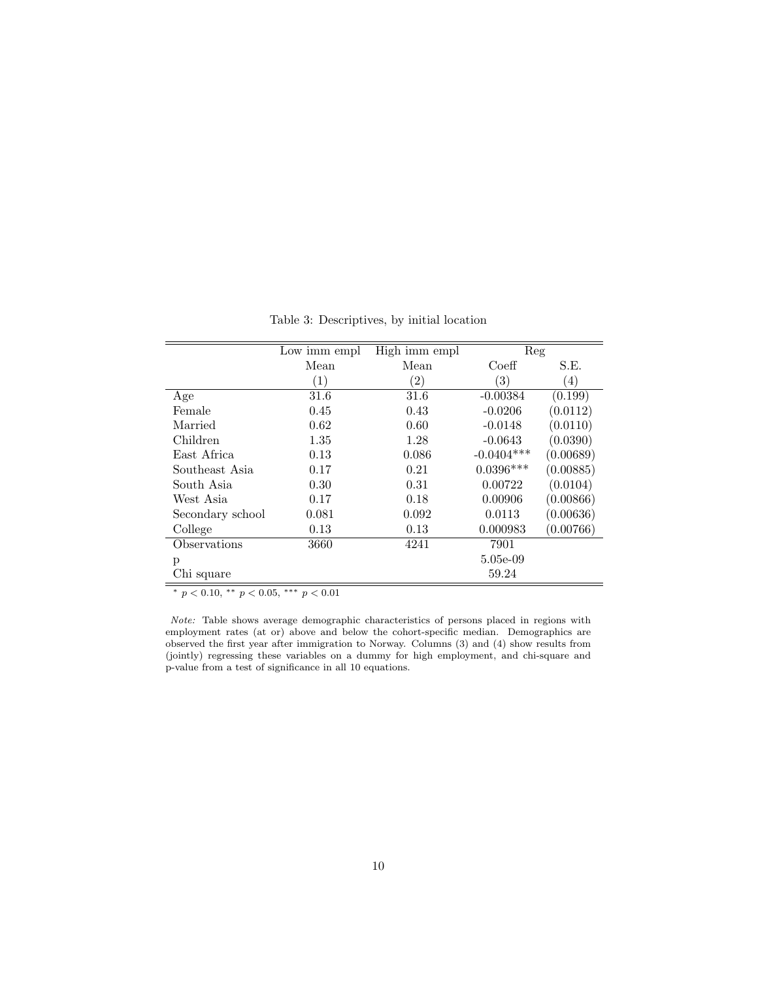Table 3: Descriptives, by initial location

|                  | Low imm empl     | $\overline{\text{High}}$ imm empl | Reg              |                  |
|------------------|------------------|-----------------------------------|------------------|------------------|
|                  | Mean             | Mean                              | Coeff            | S.E.             |
|                  | $\left(1\right)$ | $\left( 2\right)$                 | $\left(3\right)$ | $\left(4\right)$ |
| Age              | 31.6             | 31.6                              | $-0.00384$       | (0.199)          |
| Female           | 0.45             | 0.43                              | $-0.0206$        | (0.0112)         |
| Married          | 0.62             | 0.60                              | $-0.0148$        | (0.0110)         |
| Children         | 1.35             | 1.28                              | $-0.0643$        | (0.0390)         |
| East Africa      | 0.13             | 0.086                             | $-0.0404***$     | (0.00689)        |
| Southeast Asia   | 0.17             | 0.21                              | $0.0396***$      | (0.00885)        |
| South Asia       | 0.30             | 0.31                              | 0.00722          | (0.0104)         |
| West Asia        | 0.17             | 0.18                              | 0.00906          | (0.00866)        |
| Secondary school | 0.081            | 0.092                             | 0.0113           | (0.00636)        |
| College          | 0.13             | 0.13                              | 0.000983         | (0.00766)        |
| Observations     | 3660             | 4241                              | 7901             |                  |
| p                |                  |                                   | 5.05e-09         |                  |
| Chi square       |                  |                                   | 59.24            |                  |

\*  $p < 0.10,$  \*\*  $p < 0.05,$  \*\*\*  $p < 0.01$ 

Note: Table shows average demographic characteristics of persons placed in regions with employment rates (at or) above and below the cohort-specific median. Demographics are observed the first year after immigration to Norway. Columns (3) and (4) show results from (jointly) regressing these variables on a dummy for high employment, and chi-square and p-value from a test of significance in all 10 equations.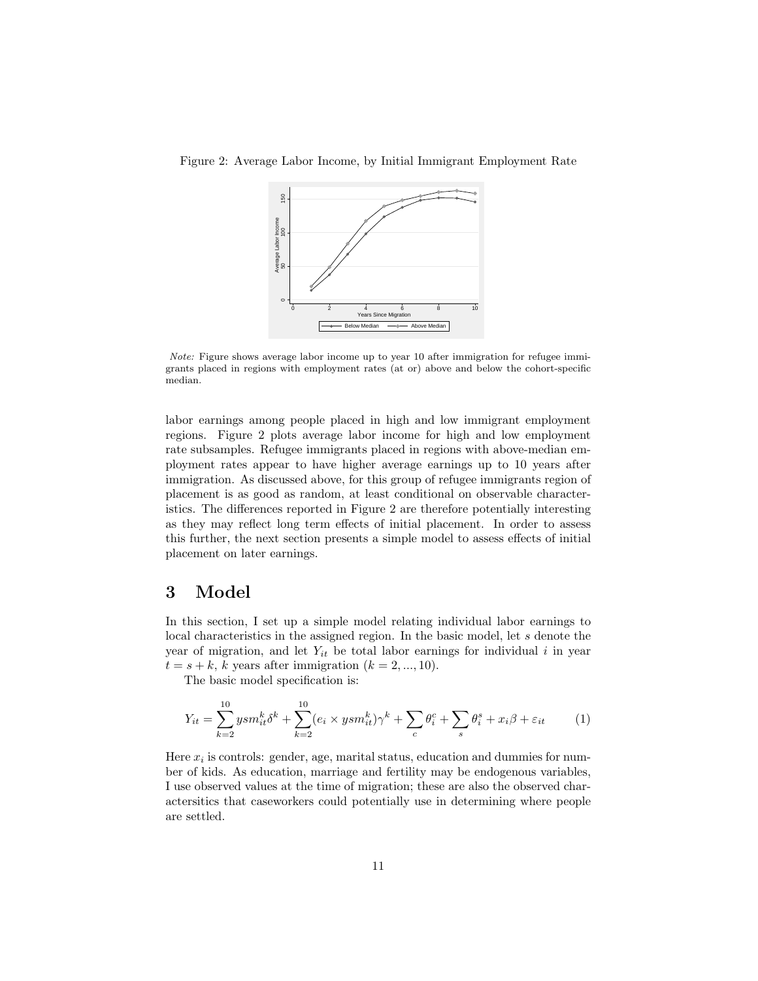

Figure 2: Average Labor Income, by Initial Immigrant Employment Rate

Note: Figure shows average labor income up to year 10 after immigration for refugee immigrants placed in regions with employment rates (at or) above and below the cohort-specific median.

labor earnings among people placed in high and low immigrant employment regions. Figure 2 plots average labor income for high and low employment rate subsamples. Refugee immigrants placed in regions with above-median employment rates appear to have higher average earnings up to 10 years after immigration. As discussed above, for this group of refugee immigrants region of placement is as good as random, at least conditional on observable characteristics. The differences reported in Figure 2 are therefore potentially interesting as they may reflect long term effects of initial placement. In order to assess this further, the next section presents a simple model to assess effects of initial placement on later earnings.

## 3 Model

In this section, I set up a simple model relating individual labor earnings to local characteristics in the assigned region. In the basic model, let s denote the year of migration, and let  $Y_{it}$  be total labor earnings for individual i in year  $t = s + k$ , k years after immigration  $(k = 2, ..., 10)$ .

The basic model specification is:

$$
Y_{it} = \sum_{k=2}^{10} ysm_{it}^k \delta^k + \sum_{k=2}^{10} (e_i \times ysm_{it}^k) \gamma^k + \sum_c \theta_i^c + \sum_s \theta_i^s + x_i \beta + \varepsilon_{it} \tag{1}
$$

Here  $x_i$  is controls: gender, age, marital status, education and dummies for number of kids. As education, marriage and fertility may be endogenous variables, I use observed values at the time of migration; these are also the observed charactersitics that caseworkers could potentially use in determining where people are settled.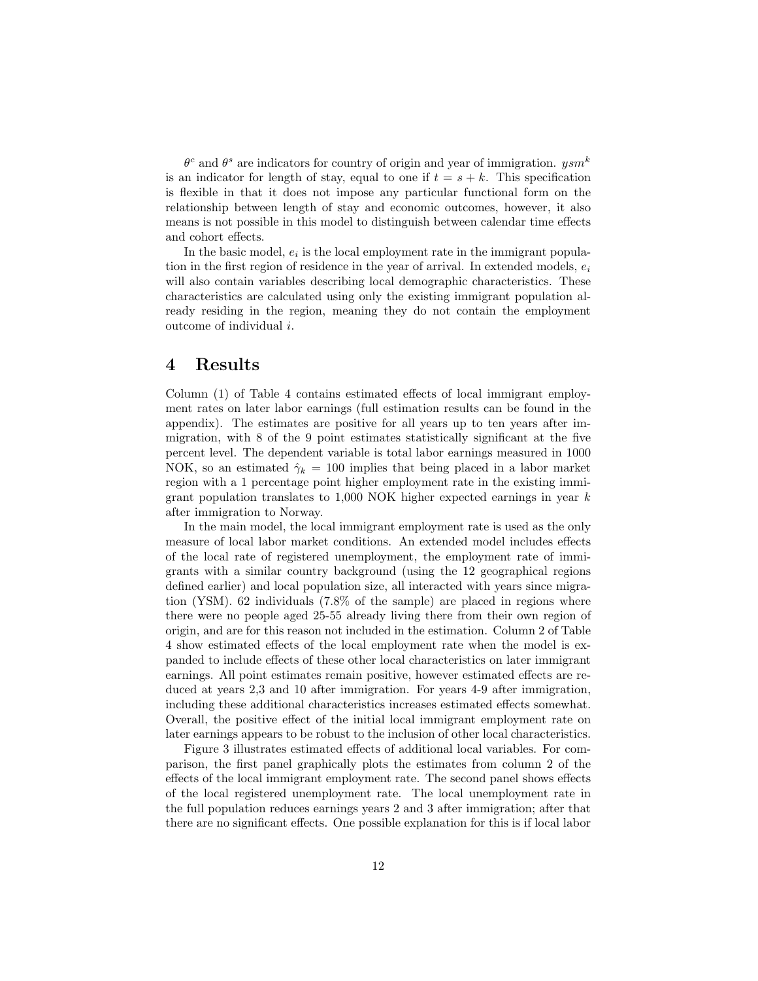$\theta^c$  and  $\theta^s$  are indicators for country of origin and year of immigration.  $ysm^k$ is an indicator for length of stay, equal to one if  $t = s + k$ . This specification is flexible in that it does not impose any particular functional form on the relationship between length of stay and economic outcomes, however, it also means is not possible in this model to distinguish between calendar time effects and cohort effects.

In the basic model,  $e_i$  is the local employment rate in the immigrant population in the first region of residence in the year of arrival. In extended models,  $e_i$ will also contain variables describing local demographic characteristics. These characteristics are calculated using only the existing immigrant population already residing in the region, meaning they do not contain the employment outcome of individual i.

#### 4 Results

Column (1) of Table 4 contains estimated effects of local immigrant employment rates on later labor earnings (full estimation results can be found in the appendix). The estimates are positive for all years up to ten years after immigration, with 8 of the 9 point estimates statistically significant at the five percent level. The dependent variable is total labor earnings measured in 1000 NOK, so an estimated  $\hat{\gamma}_k = 100$  implies that being placed in a labor market region with a 1 percentage point higher employment rate in the existing immigrant population translates to  $1,000$  NOK higher expected earnings in year  $k$ after immigration to Norway.

In the main model, the local immigrant employment rate is used as the only measure of local labor market conditions. An extended model includes effects of the local rate of registered unemployment, the employment rate of immigrants with a similar country background (using the 12 geographical regions defined earlier) and local population size, all interacted with years since migration (YSM). 62 individuals (7.8% of the sample) are placed in regions where there were no people aged 25-55 already living there from their own region of origin, and are for this reason not included in the estimation. Column 2 of Table 4 show estimated effects of the local employment rate when the model is expanded to include effects of these other local characteristics on later immigrant earnings. All point estimates remain positive, however estimated effects are reduced at years 2,3 and 10 after immigration. For years 4-9 after immigration, including these additional characteristics increases estimated effects somewhat. Overall, the positive effect of the initial local immigrant employment rate on later earnings appears to be robust to the inclusion of other local characteristics.

Figure 3 illustrates estimated effects of additional local variables. For comparison, the first panel graphically plots the estimates from column 2 of the effects of the local immigrant employment rate. The second panel shows effects of the local registered unemployment rate. The local unemployment rate in the full population reduces earnings years 2 and 3 after immigration; after that there are no significant effects. One possible explanation for this is if local labor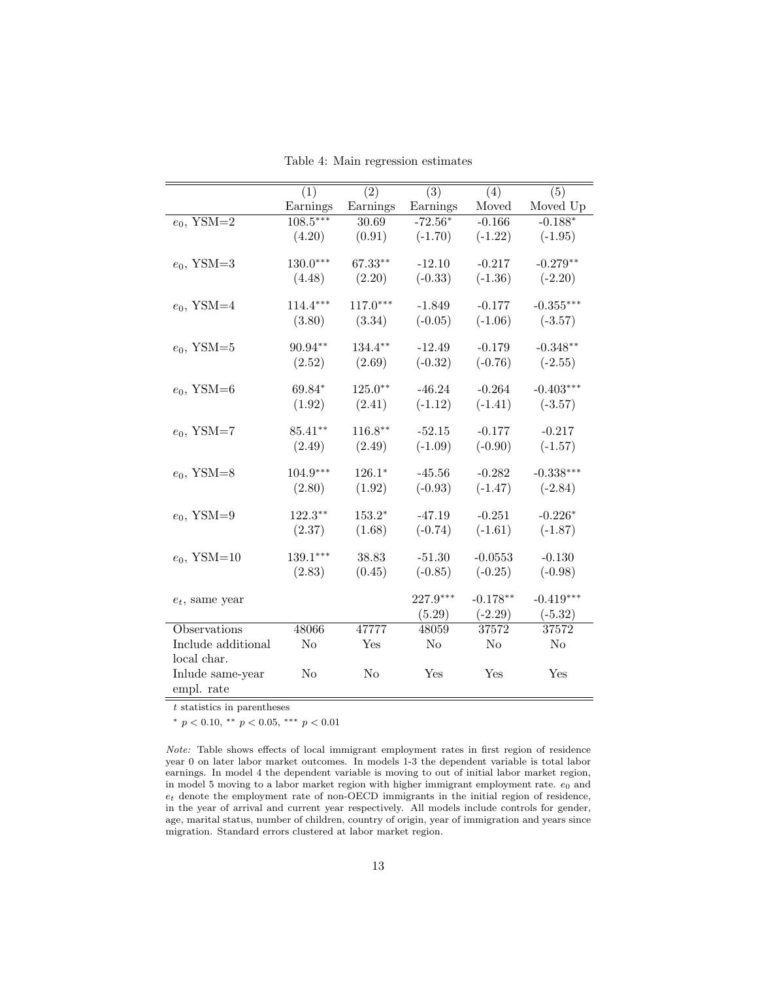|                                | $\overline{(1)}$ | $\overline{(2)}$ | $\overline{(3)}$ | (4)        | (5)         |
|--------------------------------|------------------|------------------|------------------|------------|-------------|
|                                | Earnings         | Earnings         | Earnings         | Moved      | Moved Up    |
| $\overline{e_0, \text{YSM}=2}$ | $108.5***$       | 30.69            | $-72.56*$        | $-0.166$   | $-0.188*$   |
|                                | (4.20)           | (0.91)           | $(-1.70)$        | $(-1.22)$  | $(-1.95)$   |
|                                |                  |                  |                  |            |             |
| $e_0$ , YSM=3                  | $130.0***$       | 67.33**          | $-12.10$         | $-0.217$   | $-0.279**$  |
|                                | (4.48)           | (2.20)           | $(-0.33)$        | $(-1.36)$  | $(-2.20)$   |
|                                |                  |                  |                  |            |             |
| $e_0$ , YSM=4                  | $114.4***$       | $117.0***$       | $-1.849$         | $-0.177$   | $-0.355***$ |
|                                | (3.80)           | (3.34)           | $(-0.05)$        | $(-1.06)$  | $(-3.57)$   |
|                                |                  |                  |                  |            |             |
| $e_0$ , YSM=5                  | 90.94**          | 134.4**          | $-12.49$         | $-0.179$   | $-0.348**$  |
|                                | (2.52)           | (2.69)           | $(-0.32)$        | $(-0.76)$  | $(-2.55)$   |
|                                |                  |                  |                  |            |             |
| $e_0$ , YSM=6                  | 69.84*           | $125.0**$        | $-46.24$         | $-0.264$   | $-0.403***$ |
|                                | (1.92)           | (2.41)           | $(-1.12)$        | $(-1.41)$  | $(-3.57)$   |
|                                |                  |                  |                  |            |             |
| $e_0$ , YSM=7                  | 85.41**          | $116.8**$        | $-52.15$         | $-0.177$   | $-0.217$    |
|                                | (2.49)           | (2.49)           | $(-1.09)$        | $(-0.90)$  | $(-1.57)$   |
|                                |                  |                  |                  |            |             |
| $e_0$ , YSM=8                  | $104.9***$       | $126.1*$         | $-45.56$         | $-0.282$   | $-0.338***$ |
|                                | (2.80)           | (1.92)           | $(-0.93)$        | $(-1.47)$  | $(-2.84)$   |
|                                |                  |                  |                  |            |             |
| $e_0$ , YSM=9                  | $122.3***$       | $153.2*$         | $-47.19$         | $-0.251$   | $-0.226*$   |
|                                | (2.37)           | (1.68)           | $(-0.74)$        | $(-1.61)$  | $(-1.87)$   |
|                                |                  |                  |                  |            |             |
| $e_0$ , YSM=10                 | $139.1***$       | 38.83            | $-51.30$         | $-0.0553$  | $-0.130$    |
|                                | (2.83)           | (0.45)           | $(-0.85)$        | $(-0.25)$  | $(-0.98)$   |
|                                |                  |                  | 227.9***         |            |             |
| $e_t$ , same year              |                  |                  |                  | $-0.178**$ | $-0.419***$ |
|                                |                  |                  | (5.29)           | $(-2.29)$  | $(-5.32)$   |
| Observations                   | 48066            | 47777            | 48059            | 37572      | 37572       |
| Include additional             | N <sub>o</sub>   | Yes              | N <sub>o</sub>   | No         | No          |
| local char.                    |                  |                  |                  |            |             |
| Inlude same-year               | No               | No               | Yes              | Yes        | Yes         |
| empl. rate                     |                  |                  |                  |            |             |

Table 4: Main regression estimates

 $\overline{t}$  statistics in parentheses

<sup>∗</sup> p < 0.10, ∗∗ p < 0.05, ∗∗∗ p < 0.01

Note: Table shows effects of local immigrant employment rates in first region of residence year 0 on later labor market outcomes. In models 1-3 the dependent variable is total labor earnings. In model 4 the dependent variable is moving to out of initial labor market region, in model 5 moving to a labor market region with higher immigrant employment rate.  $e_0$  and  $e_t$  denote the employment rate of non-OECD immigrants in the initial region of residence, in the year of arrival and current year respectively. All models include controls for gender, age, marital status, number of children, country of origin, year of immigration and years since migration. Standard errors clustered at labor market region.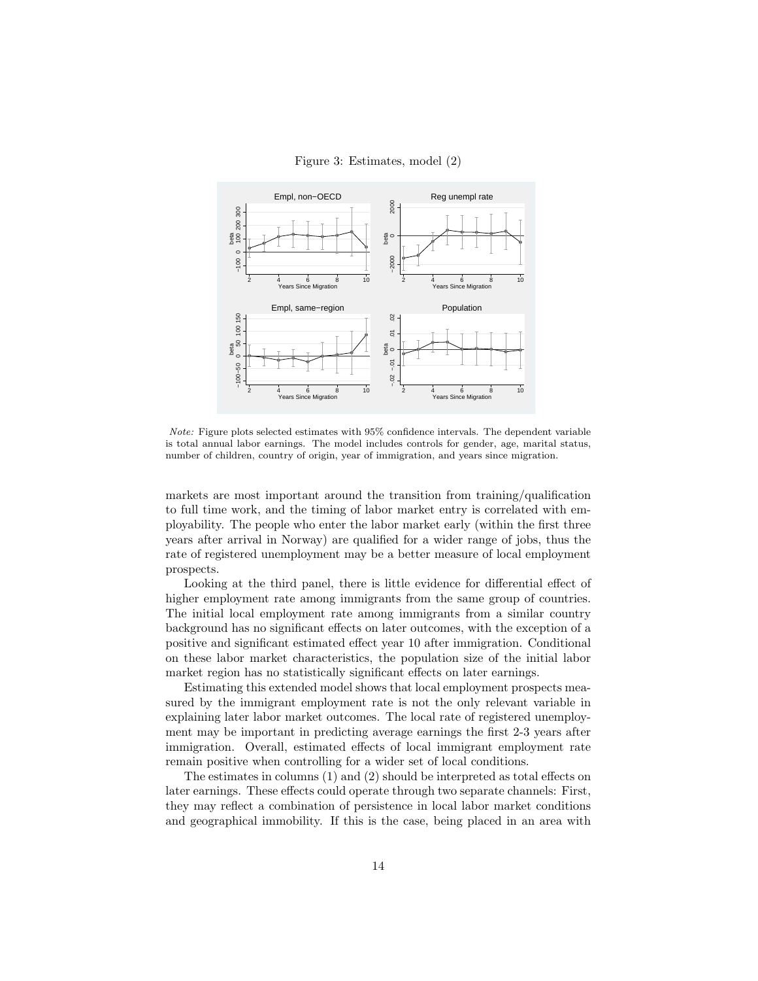Figure 3: Estimates, model (2)



Note: Figure plots selected estimates with 95% confidence intervals. The dependent variable is total annual labor earnings. The model includes controls for gender, age, marital status, number of children, country of origin, year of immigration, and years since migration.

markets are most important around the transition from training/qualification to full time work, and the timing of labor market entry is correlated with employability. The people who enter the labor market early (within the first three years after arrival in Norway) are qualified for a wider range of jobs, thus the rate of registered unemployment may be a better measure of local employment prospects.

Looking at the third panel, there is little evidence for differential effect of higher employment rate among immigrants from the same group of countries. The initial local employment rate among immigrants from a similar country background has no significant effects on later outcomes, with the exception of a positive and significant estimated effect year 10 after immigration. Conditional on these labor market characteristics, the population size of the initial labor market region has no statistically significant effects on later earnings.

Estimating this extended model shows that local employment prospects measured by the immigrant employment rate is not the only relevant variable in explaining later labor market outcomes. The local rate of registered unemployment may be important in predicting average earnings the first 2-3 years after immigration. Overall, estimated effects of local immigrant employment rate remain positive when controlling for a wider set of local conditions.

The estimates in columns (1) and (2) should be interpreted as total effects on later earnings. These effects could operate through two separate channels: First, they may reflect a combination of persistence in local labor market conditions and geographical immobility. If this is the case, being placed in an area with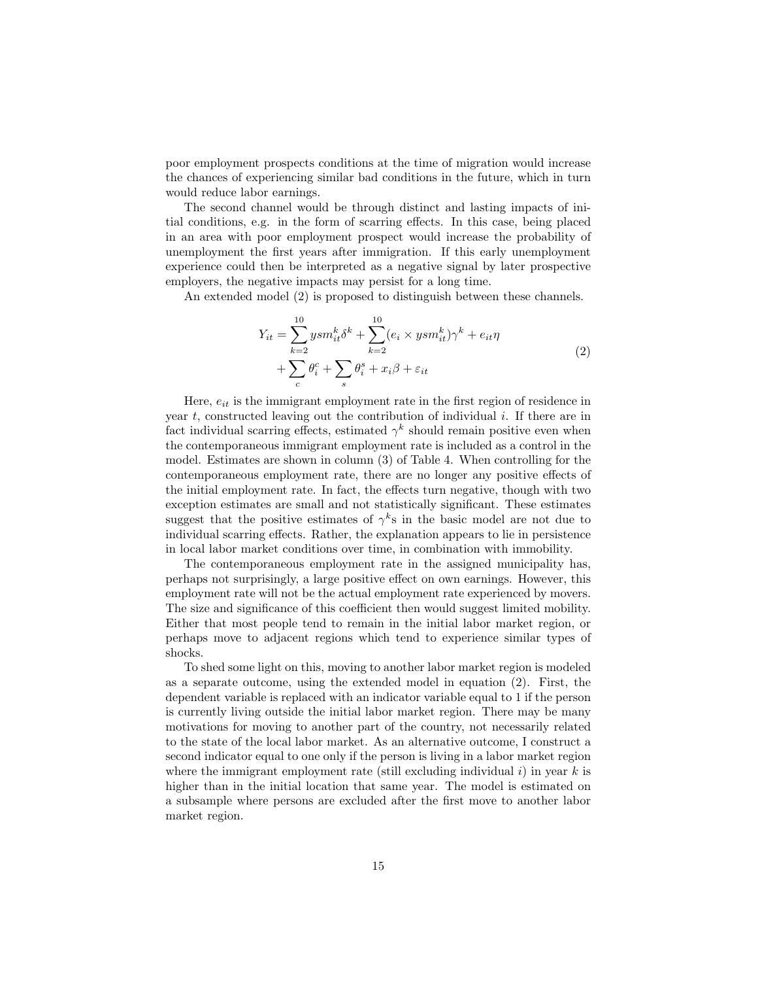poor employment prospects conditions at the time of migration would increase the chances of experiencing similar bad conditions in the future, which in turn would reduce labor earnings.

The second channel would be through distinct and lasting impacts of initial conditions, e.g. in the form of scarring effects. In this case, being placed in an area with poor employment prospect would increase the probability of unemployment the first years after immigration. If this early unemployment experience could then be interpreted as a negative signal by later prospective employers, the negative impacts may persist for a long time.

An extended model (2) is proposed to distinguish between these channels.

$$
Y_{it} = \sum_{k=2}^{10} ysm_{it}^k \delta^k + \sum_{k=2}^{10} (e_i \times ysm_{it}^k) \gamma^k + e_{it} \eta
$$
  
+ 
$$
\sum_c \theta_i^c + \sum_s \theta_i^s + x_i \beta + \varepsilon_{it}
$$
 (2)

Here,  $e_{it}$  is the immigrant employment rate in the first region of residence in year  $t$ , constructed leaving out the contribution of individual  $i$ . If there are in fact individual scarring effects, estimated  $\gamma^k$  should remain positive even when the contemporaneous immigrant employment rate is included as a control in the model. Estimates are shown in column (3) of Table 4. When controlling for the contemporaneous employment rate, there are no longer any positive effects of the initial employment rate. In fact, the effects turn negative, though with two exception estimates are small and not statistically significant. These estimates suggest that the positive estimates of  $\gamma^k$ s in the basic model are not due to individual scarring effects. Rather, the explanation appears to lie in persistence in local labor market conditions over time, in combination with immobility.

The contemporaneous employment rate in the assigned municipality has, perhaps not surprisingly, a large positive effect on own earnings. However, this employment rate will not be the actual employment rate experienced by movers. The size and significance of this coefficient then would suggest limited mobility. Either that most people tend to remain in the initial labor market region, or perhaps move to adjacent regions which tend to experience similar types of shocks.

To shed some light on this, moving to another labor market region is modeled as a separate outcome, using the extended model in equation (2). First, the dependent variable is replaced with an indicator variable equal to 1 if the person is currently living outside the initial labor market region. There may be many motivations for moving to another part of the country, not necessarily related to the state of the local labor market. As an alternative outcome, I construct a second indicator equal to one only if the person is living in a labor market region where the immigrant employment rate (still excluding individual  $i$ ) in year k is higher than in the initial location that same year. The model is estimated on a subsample where persons are excluded after the first move to another labor market region.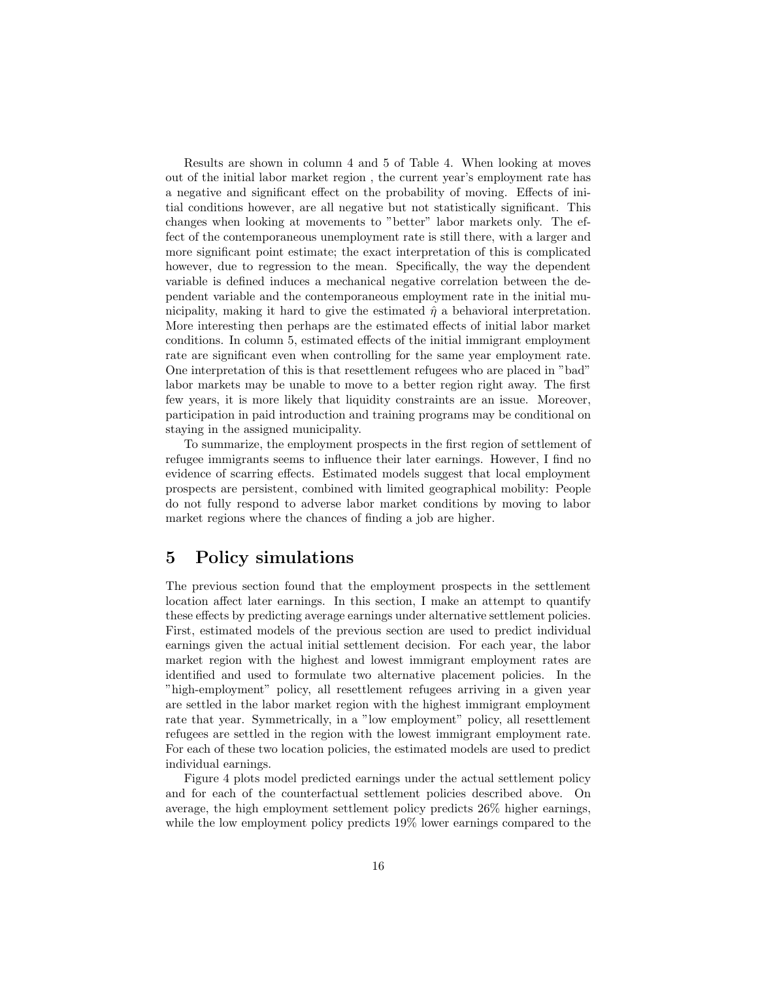Results are shown in column 4 and 5 of Table 4. When looking at moves out of the initial labor market region , the current year's employment rate has a negative and significant effect on the probability of moving. Effects of initial conditions however, are all negative but not statistically significant. This changes when looking at movements to "better" labor markets only. The effect of the contemporaneous unemployment rate is still there, with a larger and more significant point estimate; the exact interpretation of this is complicated however, due to regression to the mean. Specifically, the way the dependent variable is defined induces a mechanical negative correlation between the dependent variable and the contemporaneous employment rate in the initial municipality, making it hard to give the estimated  $\hat{\eta}$  a behavioral interpretation. More interesting then perhaps are the estimated effects of initial labor market conditions. In column 5, estimated effects of the initial immigrant employment rate are significant even when controlling for the same year employment rate. One interpretation of this is that resettlement refugees who are placed in "bad" labor markets may be unable to move to a better region right away. The first few years, it is more likely that liquidity constraints are an issue. Moreover, participation in paid introduction and training programs may be conditional on staying in the assigned municipality.

To summarize, the employment prospects in the first region of settlement of refugee immigrants seems to influence their later earnings. However, I find no evidence of scarring effects. Estimated models suggest that local employment prospects are persistent, combined with limited geographical mobility: People do not fully respond to adverse labor market conditions by moving to labor market regions where the chances of finding a job are higher.

## 5 Policy simulations

The previous section found that the employment prospects in the settlement location affect later earnings. In this section, I make an attempt to quantify these effects by predicting average earnings under alternative settlement policies. First, estimated models of the previous section are used to predict individual earnings given the actual initial settlement decision. For each year, the labor market region with the highest and lowest immigrant employment rates are identified and used to formulate two alternative placement policies. In the "high-employment" policy, all resettlement refugees arriving in a given year are settled in the labor market region with the highest immigrant employment rate that year. Symmetrically, in a "low employment" policy, all resettlement refugees are settled in the region with the lowest immigrant employment rate. For each of these two location policies, the estimated models are used to predict individual earnings.

Figure 4 plots model predicted earnings under the actual settlement policy and for each of the counterfactual settlement policies described above. On average, the high employment settlement policy predicts 26% higher earnings, while the low employment policy predicts 19% lower earnings compared to the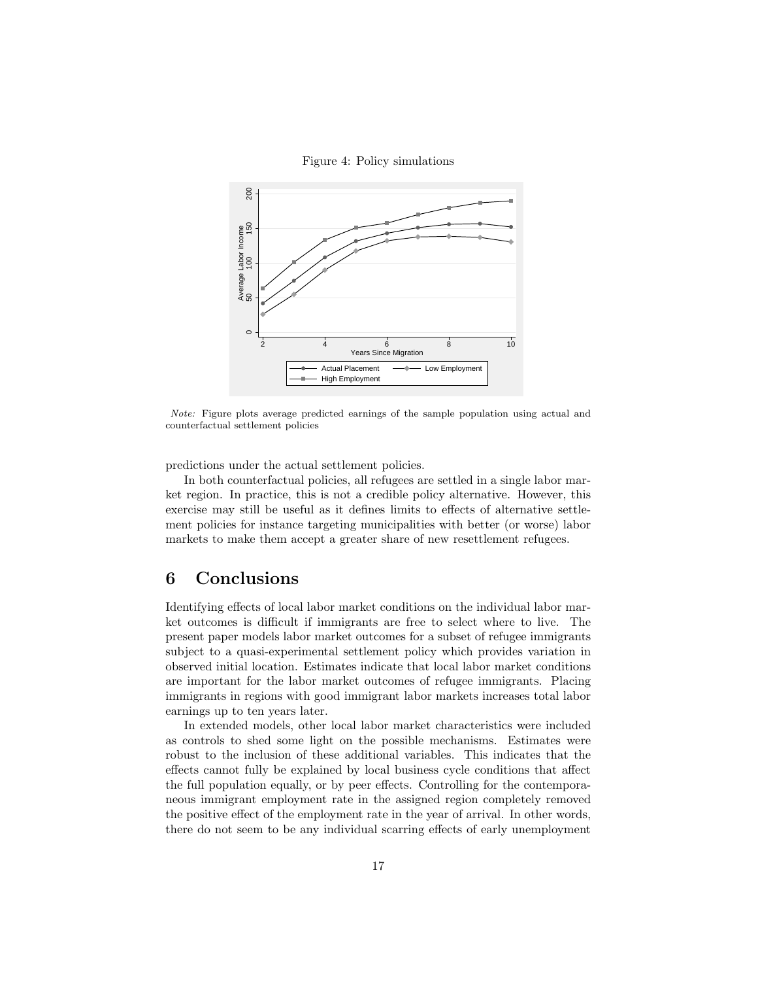Figure 4: Policy simulations



Note: Figure plots average predicted earnings of the sample population using actual and counterfactual settlement policies

predictions under the actual settlement policies.

In both counterfactual policies, all refugees are settled in a single labor market region. In practice, this is not a credible policy alternative. However, this exercise may still be useful as it defines limits to effects of alternative settlement policies for instance targeting municipalities with better (or worse) labor markets to make them accept a greater share of new resettlement refugees.

#### 6 Conclusions

Identifying effects of local labor market conditions on the individual labor market outcomes is difficult if immigrants are free to select where to live. The present paper models labor market outcomes for a subset of refugee immigrants subject to a quasi-experimental settlement policy which provides variation in observed initial location. Estimates indicate that local labor market conditions are important for the labor market outcomes of refugee immigrants. Placing immigrants in regions with good immigrant labor markets increases total labor earnings up to ten years later.

In extended models, other local labor market characteristics were included as controls to shed some light on the possible mechanisms. Estimates were robust to the inclusion of these additional variables. This indicates that the effects cannot fully be explained by local business cycle conditions that affect the full population equally, or by peer effects. Controlling for the contemporaneous immigrant employment rate in the assigned region completely removed the positive effect of the employment rate in the year of arrival. In other words, there do not seem to be any individual scarring effects of early unemployment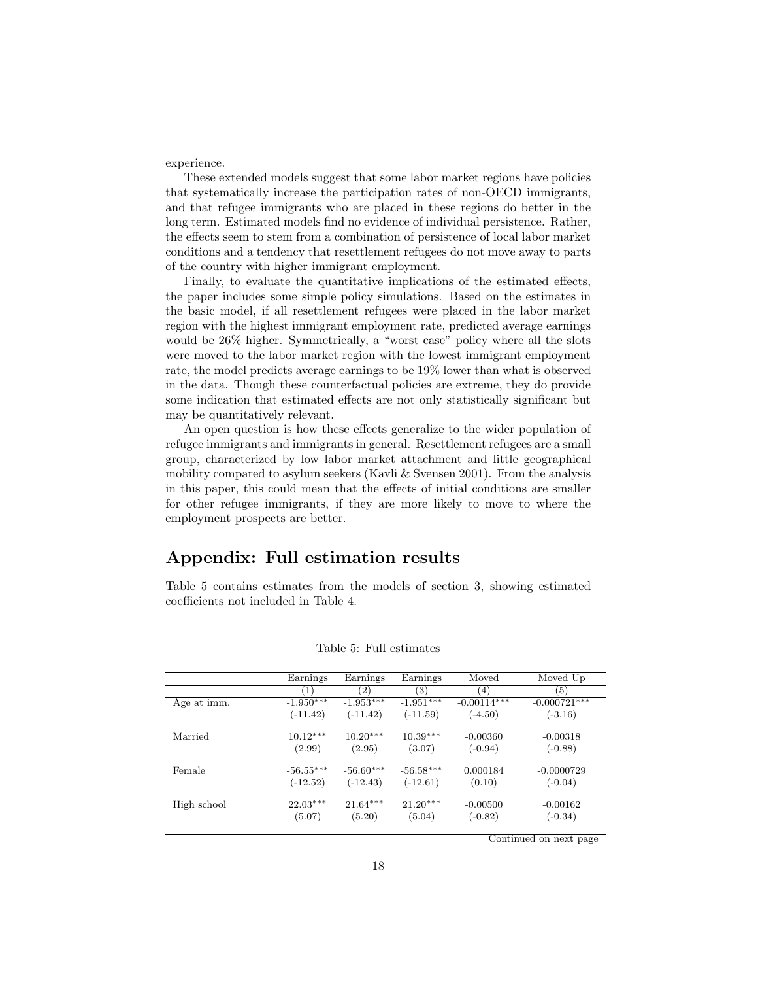experience.

These extended models suggest that some labor market regions have policies that systematically increase the participation rates of non-OECD immigrants, and that refugee immigrants who are placed in these regions do better in the long term. Estimated models find no evidence of individual persistence. Rather, the effects seem to stem from a combination of persistence of local labor market conditions and a tendency that resettlement refugees do not move away to parts of the country with higher immigrant employment.

Finally, to evaluate the quantitative implications of the estimated effects, the paper includes some simple policy simulations. Based on the estimates in the basic model, if all resettlement refugees were placed in the labor market region with the highest immigrant employment rate, predicted average earnings would be 26% higher. Symmetrically, a "worst case" policy where all the slots were moved to the labor market region with the lowest immigrant employment rate, the model predicts average earnings to be 19% lower than what is observed in the data. Though these counterfactual policies are extreme, they do provide some indication that estimated effects are not only statistically significant but may be quantitatively relevant.

An open question is how these effects generalize to the wider population of refugee immigrants and immigrants in general. Resettlement refugees are a small group, characterized by low labor market attachment and little geographical mobility compared to asylum seekers (Kavli  $\&$  Svensen 2001). From the analysis in this paper, this could mean that the effects of initial conditions are smaller for other refugee immigrants, if they are more likely to move to where the employment prospects are better.

## Appendix: Full estimation results

Table 5 contains estimates from the models of section 3, showing estimated coefficients not included in Table 4.

|             | Earnings    | Earnings    | Earnings          | Moved         | Moved Up               |
|-------------|-------------|-------------|-------------------|---------------|------------------------|
|             | (1)         | (2)         | $\left( 3\right)$ | (4)           | (5)                    |
| Age at imm. | $-1.950***$ | $-1.953***$ | $-1.951***$       | $-0.00114***$ | $-0.000721***$         |
|             | $(-11.42)$  | $(-11.42)$  | $(-11.59)$        | $(-4.50)$     | $(-3.16)$              |
| Married     | $10.12***$  | $10.20***$  | $10.39***$        | $-0.00360$    | $-0.00318$             |
|             | (2.99)      | (2.95)      | (3.07)            | $(-0.94)$     | $(-0.88)$              |
| Female      | $-56.55***$ | $-56.60***$ | $-56.58***$       | 0.000184      | $-0.0000729$           |
|             | $(-12.52)$  | $(-12.43)$  | $(-12.61)$        | (0.10)        | $(-0.04)$              |
| High school | $22.03***$  | $21.64***$  | $21.20***$        | $-0.00500$    | $-0.00162$             |
|             | (5.07)      | (5.20)      | (5.04)            | $(-0.82)$     | $(-0.34)$              |
|             |             |             |                   |               | Continued on next page |

Table 5: Full estimates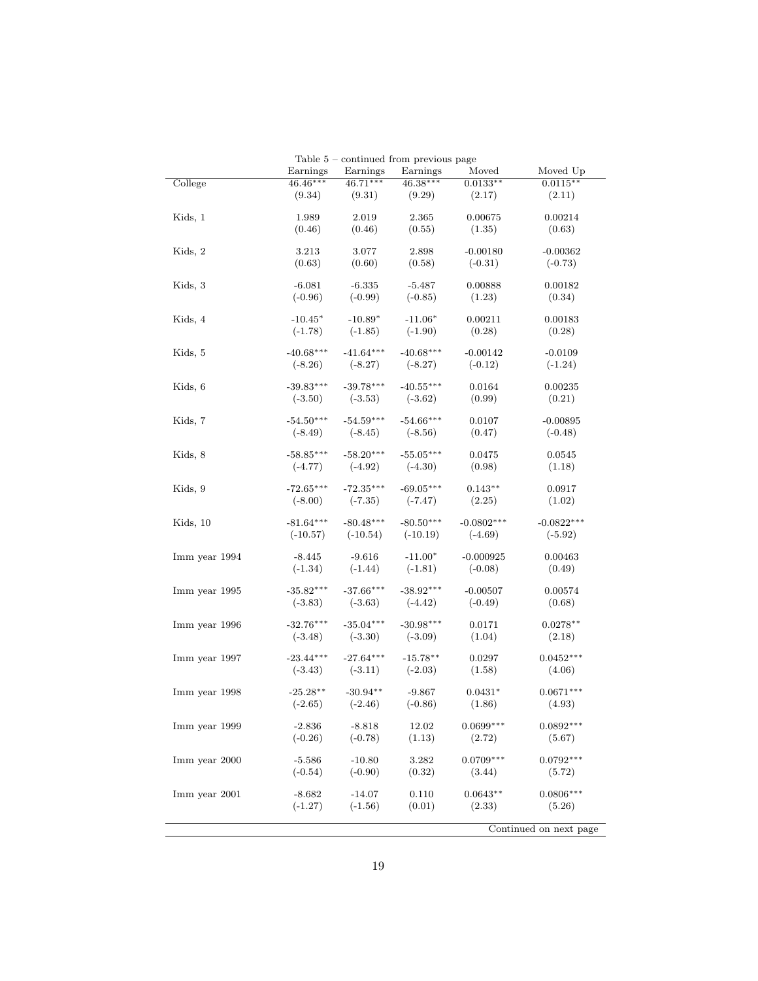|               |                        |                        | rable 5 – continued from previous page |                       |                         |
|---------------|------------------------|------------------------|----------------------------------------|-----------------------|-------------------------|
|               | Earnings<br>$46.46***$ | Earnings<br>$46.71***$ | Earnings<br>46.38***                   | Moved<br>$0.0133**$   | Moved Up<br>$0.0115**$  |
| College       | (9.34)                 | (9.31)                 | (9.29)                                 | (2.17)                | (2.11)                  |
|               |                        |                        |                                        |                       |                         |
| Kids, 1       | 1.989                  | 2.019                  | 2.365                                  | 0.00675               | 0.00214                 |
|               | (0.46)                 | (0.46)                 | (0.55)                                 | (1.35)                | (0.63)                  |
|               |                        |                        |                                        | $-0.00180$            |                         |
| Kids, 2       | 3.213<br>(0.63)        | 3.077<br>(0.60)        | 2.898<br>(0.58)                        | $(-0.31)$             | $-0.00362$<br>$(-0.73)$ |
|               |                        |                        |                                        |                       |                         |
| Kids, 3       | $-6.081$               | $-6.335$               | $-5.487$                               | 0.00888               | 0.00182                 |
|               | $(-0.96)$              | $(-0.99)$              | $(-0.85)$                              | (1.23)                | (0.34)                  |
|               | $-10.45*$              | $-10.89*$              | $-11.06*$                              | 0.00211               |                         |
| Kids, 4       | $(-1.78)$              | $(-1.85)$              | $(-1.90)$                              | (0.28)                | 0.00183<br>(0.28)       |
|               |                        |                        |                                        |                       |                         |
| Kids, 5       | $-40.68***$            | $-41.64***$            | $-40.68***$                            | $-0.00142$            | $-0.0109$               |
|               | $(-8.26)$              | $(-8.27)$              | $(-8.27)$                              | $(-0.12)$             | $(-1.24)$               |
|               |                        |                        |                                        |                       |                         |
| Kids, 6       | $-39.83***$            | $-39.78***$            | $-40.55***$                            | 0.0164                | 0.00235                 |
|               | $(-3.50)$              | $(-3.53)$              | $(-3.62)$                              | (0.99)                | (0.21)                  |
| Kids, 7       | $-54.50***$            | $-54.59***$            | $-54.66***$                            | 0.0107                | $-0.00895$              |
|               | $(-8.49)$              | $(-8.45)$              | $(-8.56)$                              | (0.47)                | $(-0.48)$               |
|               |                        |                        |                                        |                       |                         |
| Kids, 8       | $-58.85***$            | $-58.20***$            | $-55.05***$                            | 0.0475                | 0.0545                  |
|               | $(-4.77)$              | $(-4.92)$              | $(-4.30)$                              | (0.98)                | (1.18)                  |
| Kids, 9       | $-72.65***$            | $-72.35***$            | $-69.05***$                            | $0.143**$             | 0.0917                  |
|               | $(-8.00)$              | $(-7.35)$              | $(-7.47)$                              | (2.25)                | (1.02)                  |
|               |                        |                        |                                        |                       |                         |
| Kids, 10      | $-81.64***$            | $-80.48***$            | $-80.50***$                            | $-0.0802***$          | $-0.0822***$            |
|               | $(-10.57)$             | $(-10.54)$             | $(-10.19)$                             | $(-4.69)$             | $(-5.92)$               |
| Imm year 1994 | $-8.445$               | $-9.616$               | $-11.00*$                              | $-0.000925$           | 0.00463                 |
|               | $(-1.34)$              | $(-1.44)$              | $(-1.81)$                              | $(-0.08)$             | (0.49)                  |
|               |                        |                        |                                        |                       |                         |
| Imm year 1995 | $-35.82***$            | $-37.66***$            | $-38.92***$                            | $-0.00507$            | 0.00574                 |
|               | $(-3.83)$              | $(-3.63)$              | $(-4.42)$                              | $(-0.49)$             | (0.68)                  |
| Imm year 1996 | $-32.76***$            | $-35.04***$            | $-30.98***$                            | 0.0171                | $0.0278**$              |
|               | $(-3.48)$              | $(-3.30)$              | $(-3.09)$                              | (1.04)                | (2.18)                  |
|               |                        |                        |                                        |                       |                         |
| Imm year 1997 | $-23.44***$            | $-27.64***$            | $-15.78**$                             | 0.0297                | $0.0452***$             |
|               | $(-3.43)$              | $(-3.11)$              | $(-2.03)$                              | (1.58)                | (4.06)                  |
| Imm year 1998 | $-25.28**$             | $-30.94**$             | $-9.867$                               | $0.0431*$             | $0.0671***$             |
|               | $(-2.65)$              | $(-2.46)$              | $(-0.86)$                              | (1.86)                | (4.93)                  |
|               |                        |                        |                                        |                       |                         |
| Imm year 1999 | -2.836                 | $-8.818$               | 12.02                                  | $0.0699***$           | $0.0892***$             |
|               | $(-0.26)$              | $(-0.78)$              | (1.13)                                 | (2.72)                | (5.67)                  |
|               |                        |                        |                                        |                       |                         |
| Imm year 2000 | $-5.586$<br>$(-0.54)$  | $-10.80$<br>$(-0.90)$  | 3.282<br>(0.32)                        | $0.0709***$<br>(3.44) | $0.0792***$<br>(5.72)   |
|               |                        |                        |                                        |                       |                         |
| Imm year 2001 | -8.682                 | $-14.07$               | 0.110                                  | $0.0643**$            | $0.0806***$             |
|               | $(-1.27)$              | $(-1.56)$              | (0.01)                                 | (2.33)                | (5.26)                  |
|               |                        |                        |                                        |                       |                         |
|               |                        |                        |                                        |                       | Continued on next page  |

Table  $5$  – continued from previous page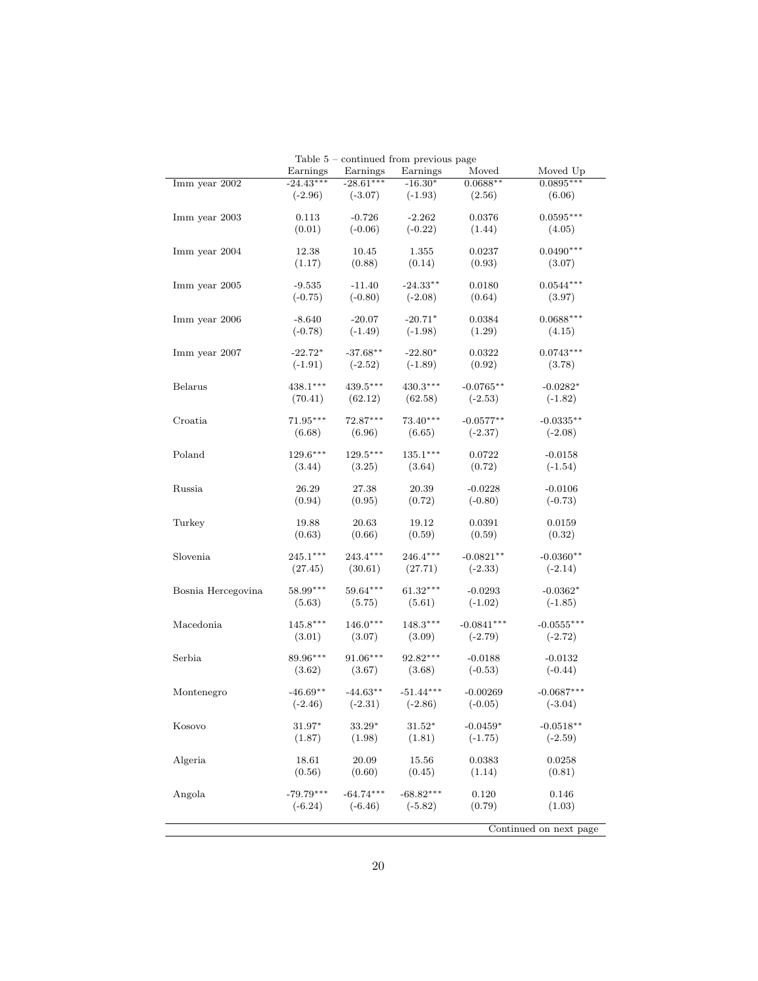|                    |             |             | Table $5$ – continued from previous page |              |                        |
|--------------------|-------------|-------------|------------------------------------------|--------------|------------------------|
|                    | Earnings    | Earnings    | Earnings                                 | Moved        | Moved Up               |
| Imm year 2002      | $-24.43***$ | $-28.61***$ | $-16.30*$                                | $0.0688**$   | $0.0895***$            |
|                    | $(-2.96)$   | $(-3.07)$   | $(-1.93)$                                | (2.56)       | (6.06)                 |
|                    |             |             |                                          |              |                        |
|                    |             |             |                                          |              | $0.0595***$            |
| Imm year 2003      | 0.113       | $-0.726$    | $-2.262$                                 | 0.0376       |                        |
|                    | (0.01)      | $(-0.06)$   | $(-0.22)$                                | (1.44)       | (4.05)                 |
|                    |             |             |                                          |              |                        |
| Imm year 2004      | 12.38       | 10.45       | 1.355                                    | 0.0237       | $0.0490***$            |
|                    | (1.17)      | (0.88)      | (0.14)                                   | (0.93)       | (3.07)                 |
|                    |             |             |                                          |              |                        |
| Imm year 2005      | $-9.535$    | $-11.40$    | $-24.33**$                               | 0.0180       | $0.0544***$            |
|                    | $(-0.75)$   | $(-0.80)$   | $(-2.08)$                                | (0.64)       | (3.97)                 |
|                    |             |             |                                          |              |                        |
| Imm year 2006      | $-8.640$    | $-20.07$    | $-20.71*$                                | 0.0384       | $0.0688***$            |
|                    |             |             |                                          |              |                        |
|                    | $(-0.78)$   | $(-1.49)$   | $(-1.98)$                                | (1.29)       | (4.15)                 |
|                    |             |             |                                          |              |                        |
| Imm year 2007      | $-22.72*$   | $-37.68**$  | $-22.80*$                                | 0.0322       | $0.0743***$            |
|                    | $(-1.91)$   | $(-2.52)$   | $(-1.89)$                                | (0.92)       | (3.78)                 |
|                    |             |             |                                          |              |                        |
| Belarus            | $438.1***$  | $439.5***$  | $430.3***$                               | $-0.0765**$  | $-0.0282*$             |
|                    | (70.41)     | (62.12)     | (62.58)                                  | $(-2.53)$    | $(-1.82)$              |
|                    |             |             |                                          |              |                        |
| Croatia            | $71.95***$  | $72.87***$  | 73.40***                                 | $-0.0577**$  | $-0.0335**$            |
|                    |             |             |                                          |              |                        |
|                    | (6.68)      | (6.96)      | (6.65)                                   | $(-2.37)$    | $(-2.08)$              |
|                    |             |             |                                          |              |                        |
| Poland             | $129.6***$  | $129.5***$  | $135.1***$                               | 0.0722       | $-0.0158$              |
|                    | (3.44)      | (3.25)      | (3.64)                                   | (0.72)       | $(-1.54)$              |
|                    |             |             |                                          |              |                        |
| Russia             | 26.29       | 27.38       | 20.39                                    | $-0.0228$    | $-0.0106$              |
|                    | (0.94)      | (0.95)      | (0.72)                                   | $(-0.80)$    | $(-0.73)$              |
|                    |             |             |                                          |              |                        |
| Turkey             | 19.88       | 20.63       | 19.12                                    | 0.0391       | 0.0159                 |
|                    | (0.63)      | (0.66)      | (0.59)                                   | (0.59)       | (0.32)                 |
|                    |             |             |                                          |              |                        |
|                    | $245.1***$  | $243.4***$  | $246.4^{\ast\ast\ast}$                   |              |                        |
| Slovenia           |             |             |                                          | $-0.0821**$  | $-0.0360**$            |
|                    | (27.45)     | (30.61)     | (27.71)                                  | $(-2.33)$    | $(-2.14)$              |
|                    |             |             |                                          |              |                        |
| Bosnia Hercegovina | $58.99***$  | 59.64***    | $61.32***$                               | $-0.0293$    | $-0.0362*$             |
|                    | (5.63)      | (5.75)      | (5.61)                                   | $(-1.02)$    | $(-1.85)$              |
|                    |             |             |                                          |              |                        |
| Macedonia          | $145.8***$  | $146.0***$  | $148.3***$                               | $-0.0841***$ | $-0.0555***$           |
|                    | (3.01)      | (3.07)      | (3.09)                                   | $(-2.79)$    | $(-2.72)$              |
|                    |             |             |                                          |              |                        |
| Serbia             | 89.96***    | 91.06***    | 92.82***                                 | $-0.0188$    | $-0.0132$              |
|                    |             |             |                                          |              | $(-0.44)$              |
|                    | (3.62)      | (3.67)      | (3.68)                                   | $(-0.53)$    |                        |
|                    |             |             |                                          |              |                        |
| Montenegro         | $-46.69**$  | $-44.63**$  | $-51.44***$                              | $-0.00269$   | $-0.0687***$           |
|                    | $(-2.46)$   | $(-2.31)$   | $(-2.86)$                                | $(-0.05)$    | $(-3.04)$              |
|                    |             |             |                                          |              |                        |
| Kosovo             | 31.97*      | 33.29*      | $31.52*$                                 | $-0.0459*$   | $-0.0518**$            |
|                    | (1.87)      | (1.98)      | (1.81)                                   | $(-1.75)$    | $(-2.59)$              |
|                    |             |             |                                          |              |                        |
| Algeria            | 18.61       | 20.09       | 15.56                                    | 0.0383       | 0.0258                 |
|                    | (0.56)      | (0.60)      | (0.45)                                   | (1.14)       | (0.81)                 |
|                    |             |             |                                          |              |                        |
|                    |             |             |                                          |              |                        |
| Angola             | $-79.79***$ | $-64.74***$ | $-68.82***$                              | 0.120        | 0.146                  |
|                    | $(-6.24)$   | $(-6.46)$   | $(-5.82)$                                | (0.79)       | (1.03)                 |
|                    |             |             |                                          |              |                        |
|                    |             |             |                                          |              | Continued on next page |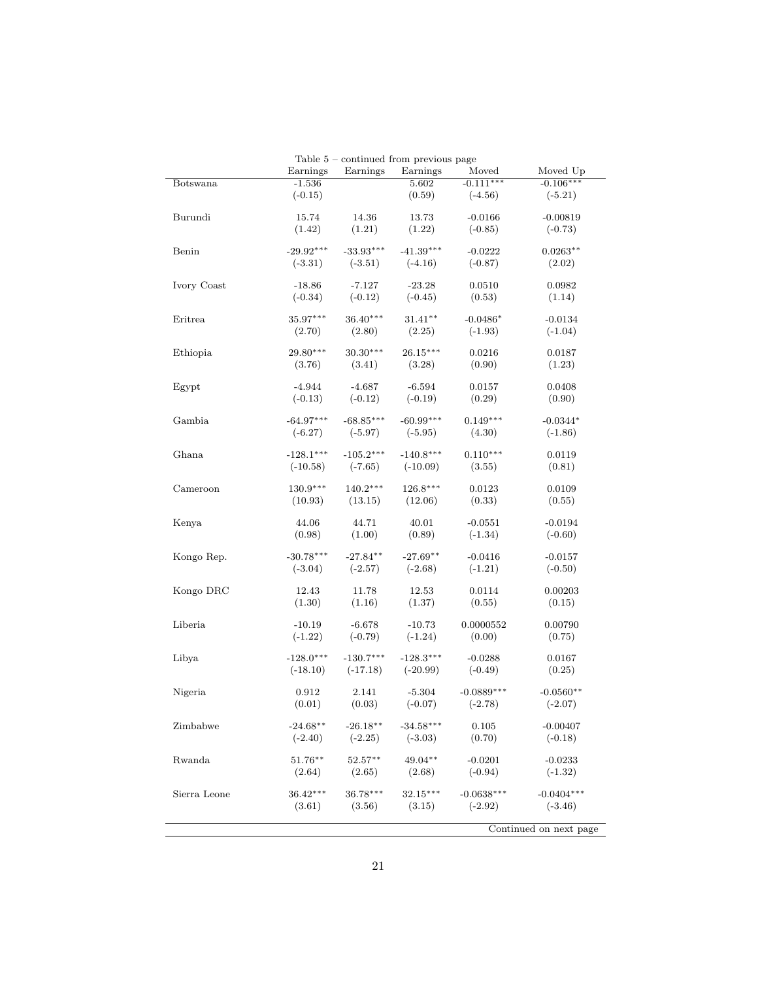|              | Earnings    | Table 5 – continued from previous page<br>Earnings | Earnings    |                      | Moved Up               |
|--------------|-------------|----------------------------------------------------|-------------|----------------------|------------------------|
| Botswana     | $-1.536$    |                                                    | 5.602       | Moved<br>$-0.111***$ | $-0.106***$            |
|              | $(-0.15)$   |                                                    | (0.59)      | $(-4.56)$            | $(-5.21)$              |
| Burundi      | 15.74       | 14.36                                              | 13.73       | $-0.0166$            | $-0.00819$             |
|              | (1.42)      | (1.21)                                             | (1.22)      | $(-0.85)$            | $(-0.73)$              |
| Benin        | $-29.92***$ | $-33.93***$                                        | $-41.39***$ | $-0.0222$            | $0.0263**$             |
|              | $(-3.31)$   | $(-3.51)$                                          | $(-4.16)$   | $(-0.87)$            | (2.02)                 |
| Ivory Coast  | $-18.86$    | $-7.127$                                           | $-23.28$    | 0.0510               | 0.0982                 |
|              | $(-0.34)$   | $(-0.12)$                                          | $(-0.45)$   | (0.53)               | (1.14)                 |
| Eritrea      | $35.97***$  | $36.40***$                                         | $31.41**$   | $-0.0486*$           | $-0.0134$              |
|              | (2.70)      | (2.80)                                             | (2.25)      | $(-1.93)$            | $(-1.04)$              |
| Ethiopia     | $29.80***$  | $30.30***$                                         | $26.15***$  | 0.0216               | 0.0187                 |
|              | (3.76)      | (3.41)                                             | (3.28)      | (0.90)               | (1.23)                 |
| Egypt        | $-4.944$    | $-4.687$                                           | $-6.594$    | 0.0157               | 0.0408                 |
|              | $(-0.13)$   | $(-0.12)$                                          | $(-0.19)$   | (0.29)               | (0.90)                 |
| Gambia       | $-64.97***$ | $-68.85***$                                        | $-60.99***$ | $0.149***$           | $-0.0344*$             |
|              | $(-6.27)$   | $(-5.97)$                                          | $(-5.95)$   | (4.30)               | $(-1.86)$              |
| Ghana        | $-128.1***$ | $-105.2***$                                        | $-140.8***$ | $0.110***$           | 0.0119                 |
|              | $(-10.58)$  | $(-7.65)$                                          | $(-10.09)$  | (3.55)               | (0.81)                 |
| Cameroon     | $130.9***$  | $140.2***$                                         | $126.8***$  | 0.0123               | 0.0109                 |
|              | (10.93)     | (13.15)                                            | (12.06)     | (0.33)               | (0.55)                 |
| Kenya        | 44.06       | 44.71                                              | 40.01       | $-0.0551$            | $-0.0194$              |
|              | (0.98)      | (1.00)                                             | (0.89)      | $(-1.34)$            | $(-0.60)$              |
| Kongo Rep.   | $-30.78***$ | $-27.84**$                                         | $-27.69**$  | $-0.0416$            | $-0.0157$              |
|              | $(-3.04)$   | $(-2.57)$                                          | $(-2.68)$   | $(-1.21)$            | $(-0.50)$              |
| Kongo DRC    | 12.43       | 11.78                                              | 12.53       | 0.0114               | 0.00203                |
|              | (1.30)      | (1.16)                                             | (1.37)      | (0.55)               | (0.15)                 |
| Liberia      | $-10.19$    | $-6.678$                                           | $-10.73$    | 0.0000552            | 0.00790                |
|              | $(-1.22)$   | $(-0.79)$                                          | $(-1.24)$   | (0.00)               | (0.75)                 |
| Libya        | $-128.0***$ | $-130.7***$                                        | $-128.3***$ | $-0.0288$            | 0.0167                 |
|              | $(-18.10)$  | $(-17.18)$                                         | $(-20.99)$  | $(-0.49)$            | (0.25)                 |
| Nigeria      | 0.912       | 2.141                                              | $-5.304$    | $-0.0889***$         | $-0.0560**$            |
|              | (0.01)      | (0.03)                                             | $(-0.07)$   | $(-2.78)$            | $(-2.07)$              |
| Zimbabwe     | $-24.68**$  | $-26.18**$                                         | $-34.58***$ | 0.105                | $-0.00407$             |
|              | $(-2.40)$   | $(-2.25)$                                          | $(-3.03)$   | (0.70)               | $(-0.18)$              |
| Rwanda       | $51.76**$   | $52.57**$                                          | 49.04**     | $-0.0201$            | $-0.0233$              |
|              | (2.64)      | (2.65)                                             | (2.68)      | $(-0.94)$            | $(-1.32)$              |
| Sierra Leone | $36.42***$  | 36.78***                                           | $32.15***$  | $-0.0638***$         | $-0.0404***$           |
|              | (3.61)      | (3.56)                                             | (3.15)      | $(-2.92)$            | $(-3.46)$              |
|              |             |                                                    |             |                      | Continued on next page |

Table 5 – continued from previous page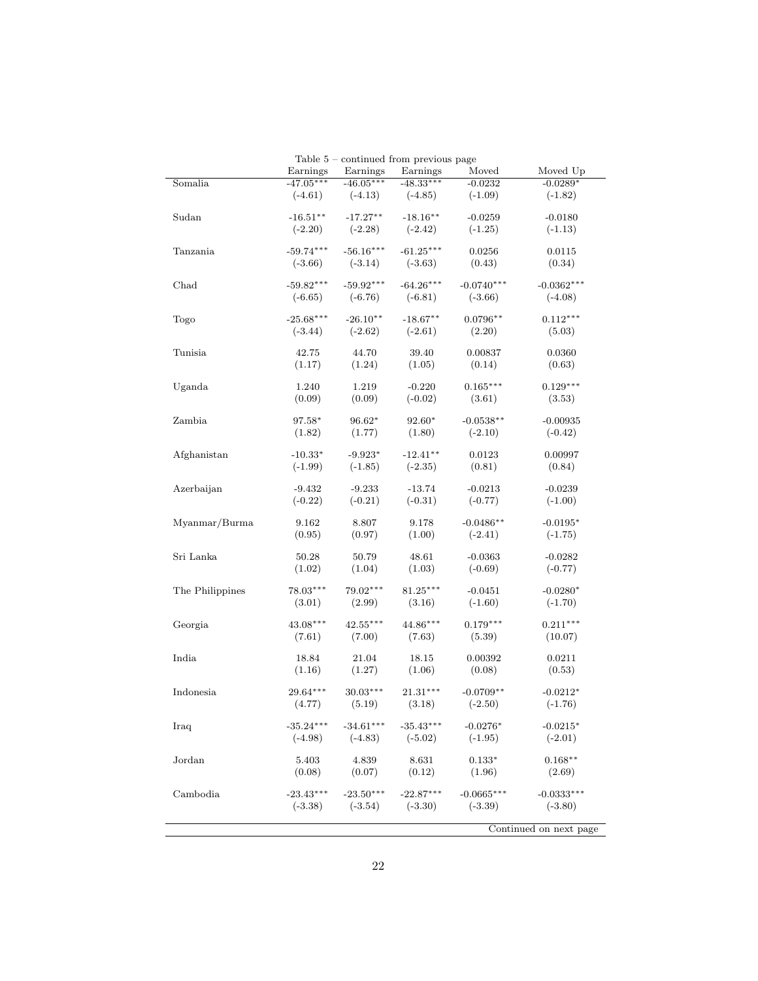|                 | Earnings    | Table 5 – continued from previous page<br>Earnings | Earnings    | Moved        | Moved Up               |
|-----------------|-------------|----------------------------------------------------|-------------|--------------|------------------------|
| Somalia         | $-47.05***$ | $-46.05***$                                        | $-48.33***$ | $-0.0232$    | $-0.0289*$             |
|                 | $(-4.61)$   | $(-4.13)$                                          | $(-4.85)$   | $(-1.09)$    | $(-1.82)$              |
| Sudan           | $-16.51**$  | $-17.27**$                                         | $-18.16**$  | $-0.0259$    | $-0.0180$              |
|                 | $(-2.20)$   | $(-2.28)$                                          | $(-2.42)$   | $(-1.25)$    | $(-1.13)$              |
| Tanzania        | $-59.74***$ | $-56.16***$                                        | $-61.25***$ | 0.0256       | 0.0115                 |
|                 | $(-3.66)$   | $(-3.14)$                                          | $(-3.63)$   | (0.43)       | (0.34)                 |
| Chad            | $-59.82***$ | $-59.92***$                                        | $-64.26***$ | $-0.0740***$ | $-0.0362***$           |
|                 | $(-6.65)$   | $(-6.76)$                                          | $(-6.81)$   | $(-3.66)$    | $(-4.08)$              |
| Togo            | $-25.68***$ | $-26.10**$                                         | $-18.67**$  | $0.0796**$   | $0.112***$             |
|                 | $(-3.44)$   | $(-2.62)$                                          | $(-2.61)$   | (2.20)       | (5.03)                 |
| Tunisia         | 42.75       | 44.70                                              | 39.40       | 0.00837      | 0.0360                 |
|                 | (1.17)      | (1.24)                                             | (1.05)      | (0.14)       | (0.63)                 |
| Uganda          | 1.240       | 1.219                                              | $-0.220$    | $0.165***$   | $0.129***$             |
|                 | (0.09)      | (0.09)                                             | $(-0.02)$   | (3.61)       | (3.53)                 |
| Zambia          | 97.58*      | 96.62*                                             | 92.60*      | $-0.0538**$  | $-0.00935$             |
|                 | (1.82)      | (1.77)                                             | (1.80)      | $(-2.10)$    | $(-0.42)$              |
| Afghanistan     | $-10.33*$   | $-9.923*$                                          | $-12.41**$  | 0.0123       | 0.00997                |
|                 | $(-1.99)$   | $(-1.85)$                                          | $(-2.35)$   | (0.81)       | (0.84)                 |
| Azerbaijan      | $-9.432$    | $-9.233$                                           | $-13.74$    | $-0.0213$    | $-0.0239$              |
|                 | $(-0.22)$   | $(-0.21)$                                          | $(-0.31)$   | $(-0.77)$    | $(-1.00)$              |
| Myanmar/Burma   | 9.162       | 8.807                                              | 9.178       | $-0.0486**$  | $-0.0195*$             |
|                 | (0.95)      | (0.97)                                             | (1.00)      | $(-2.41)$    | $(-1.75)$              |
| Sri Lanka       | 50.28       | 50.79                                              | 48.61       | $-0.0363$    | $-0.0282$              |
|                 | (1.02)      | (1.04)                                             | (1.03)      | $(-0.69)$    | $(-0.77)$              |
| The Philippines | 78.03***    | 79.02***                                           | $81.25***$  | $-0.0451$    | $-0.0280*$             |
|                 | (3.01)      | (2.99)                                             | (3.16)      | $(-1.60)$    | $(-1.70)$              |
| Georgia         | $43.08***$  | $42.55***$                                         | 44.86***    | $0.179***$   | $0.211***$             |
|                 | (7.61)      | (7.00)                                             | (7.63)      | (5.39)       | (10.07)                |
| India           | 18.84       | 21.04                                              | 18.15       | 0.00392      | 0.0211                 |
|                 | (1.16)      | (1.27)                                             | (1.06)      | (0.08)       | (0.53)                 |
| Indonesia       | $29.64***$  | $30.03***$                                         | $21.31***$  | $-0.0709**$  | $-0.0212*$             |
|                 | (4.77)      | (5.19)                                             | (3.18)      | $(-2.50)$    | $(-1.76)$              |
| Iraq            | $-35.24***$ | $-34.61***$                                        | $-35.43***$ | $-0.0276*$   | $-0.0215*$             |
|                 | $(-4.98)$   | $(-4.83)$                                          | $(-5.02)$   | $(-1.95)$    | $(-2.01)$              |
| Jordan          | 5.403       | 4.839                                              | 8.631       | $0.133*$     | $0.168**$              |
|                 | (0.08)      | (0.07)                                             | (0.12)      | (1.96)       | (2.69)                 |
| Cambodia        | $-23.43***$ | $-23.50***$                                        | $-22.87***$ | $-0.0665***$ | $-0.0333***$           |
|                 | $(-3.38)$   | $(-3.54)$                                          | $(-3.30)$   | $(-3.39)$    | $(-3.80)$              |
|                 |             |                                                    |             |              | Continued on next page |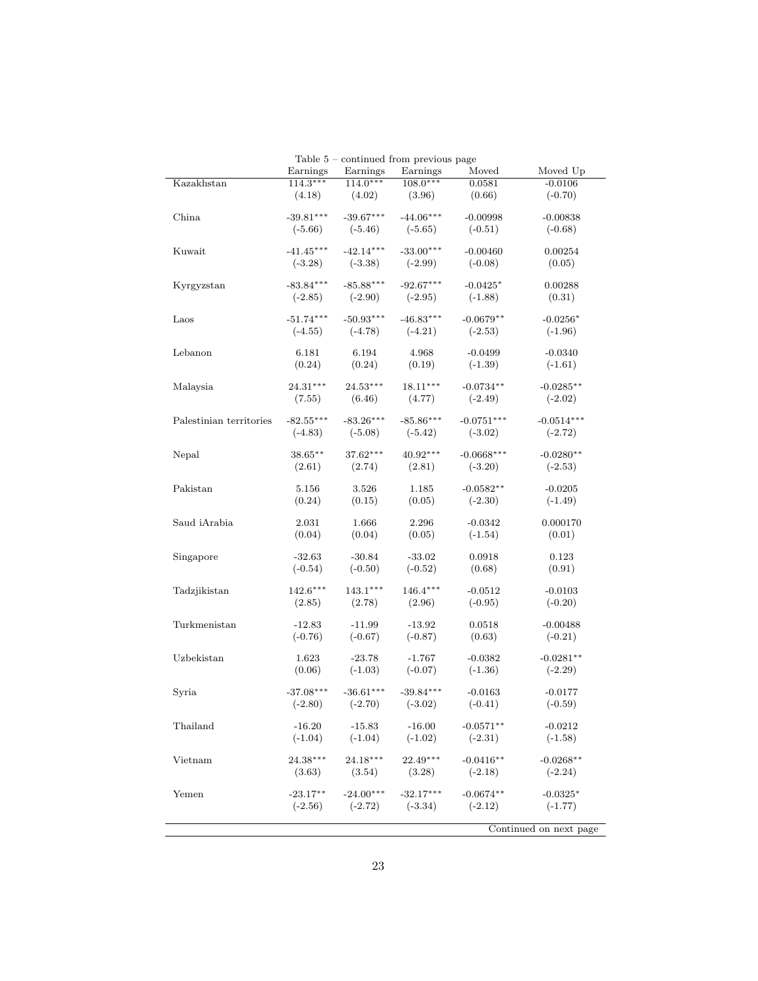|                         |             |             | Table $5$ – continued from previous page |              |                        |
|-------------------------|-------------|-------------|------------------------------------------|--------------|------------------------|
|                         | Earnings    | Earnings    | Earnings                                 | Moved        | Moved Up               |
| Kazakhstan              | $114.3***$  | $114.0***$  | $108.0***$                               | 0.0581       | $-0.0106$              |
|                         | (4.18)      | (4.02)      | (3.96)                                   | (0.66)       | $(-0.70)$              |
|                         |             |             |                                          |              |                        |
| China                   | $-39.81***$ | $-39.67***$ | $-44.06***$                              | $-0.00998$   | $-0.00838$             |
|                         | $(-5.66)$   | $(-5.46)$   | $(-5.65)$                                | $(-0.51)$    | $(-0.68)$              |
|                         |             |             |                                          |              |                        |
| Kuwait                  | $-41.45***$ | $-42.14***$ | $-33.00***$                              | $-0.00460$   | 0.00254                |
|                         |             |             |                                          |              |                        |
|                         | $(-3.28)$   | $(-3.38)$   | $(-2.99)$                                | $(-0.08)$    | (0.05)                 |
|                         |             |             |                                          |              |                        |
| Kyrgyzstan              | $-83.84***$ | $-85.88***$ | $-92.67***$                              | $-0.0425*$   | 0.00288                |
|                         | $(-2.85)$   | $(-2.90)$   | $(-2.95)$                                | $(-1.88)$    | (0.31)                 |
|                         |             |             |                                          |              |                        |
| Laos                    | $-51.74***$ | $-50.93***$ | $-46.83***$                              | $-0.0679**$  | $-0.0256*$             |
|                         | $(-4.55)$   | $(-4.78)$   | $(-4.21)$                                | $(-2.53)$    | $(-1.96)$              |
|                         |             |             |                                          |              |                        |
| Lebanon                 | 6.181       | 6.194       | 4.968                                    | $-0.0499$    | $-0.0340$              |
|                         | (0.24)      | (0.24)      | (0.19)                                   | $(-1.39)$    | $(-1.61)$              |
|                         |             |             |                                          |              |                        |
| Malaysia                | $24.31***$  | $24.53***$  | $18.11***$                               | $-0.0734**$  | $-0.0285**$            |
|                         | (7.55)      | (6.46)      | (4.77)                                   | $(-2.49)$    | $(-2.02)$              |
|                         |             |             |                                          |              |                        |
| Palestinian territories | $-82.55***$ | $-83.26***$ | $-85.86***$                              | $-0.0751***$ | $-0.0514***$           |
|                         | $(-4.83)$   | $(-5.08)$   | $(-5.42)$                                | $(-3.02)$    | $(-2.72)$              |
|                         |             |             |                                          |              |                        |
| Nepal                   | $38.65**$   | 37.62***    | $40.92***$                               | $-0.0668***$ | $-0.0280**$            |
|                         |             |             |                                          |              |                        |
|                         | (2.61)      | (2.74)      | (2.81)                                   | $(-3.20)$    | $(-2.53)$              |
| Pakistan                | 5.156       | 3.526       | 1.185                                    | $-0.0582**$  |                        |
|                         |             |             |                                          |              | $-0.0205$              |
|                         | (0.24)      | (0.15)      | (0.05)                                   | $(-2.30)$    | $(-1.49)$              |
|                         |             |             |                                          |              |                        |
| Saud iArabia            | 2.031       | 1.666       | 2.296                                    | $-0.0342$    | 0.000170               |
|                         | (0.04)      | (0.04)      | (0.05)                                   | $(-1.54)$    | (0.01)                 |
|                         |             |             |                                          |              |                        |
| Singapore               | $-32.63$    | $-30.84$    | $-33.02$                                 | 0.0918       | 0.123                  |
|                         | $(-0.54)$   | $(-0.50)$   | $(-0.52)$                                | (0.68)       | (0.91)                 |
|                         |             |             |                                          |              |                        |
| Tadzjikistan            | $142.6***$  | $143.1***$  | $146.4***$                               | $-0.0512$    | $-0.0103$              |
|                         | (2.85)      | (2.78)      | (2.96)                                   | $(-0.95)$    | $(-0.20)$              |
|                         |             |             |                                          |              |                        |
| Turkmenistan            | $-12.83$    | $-11.99$    | $-13.92$                                 | 0.0518       | $-0.00488$             |
|                         | $(-0.76)$   | $(-0.67)$   | $(-0.87)$                                | (0.63)       | $(-0.21)$              |
|                         |             |             |                                          |              |                        |
| Uzbekistan              | 1.623       | $-23.78$    | $-1.767$                                 | $-0.0382$    | $-0.0281**$            |
|                         | (0.06)      | $(-1.03)$   | $(-0.07)$                                | $(-1.36)$    | $(-2.29)$              |
|                         |             |             |                                          |              |                        |
| Syria                   | $-37.08***$ | $-36.61***$ | $-39.84***$                              | $-0.0163$    | $-0.0177$              |
|                         | $(-2.80)$   | $(-2.70)$   | $(-3.02)$                                | $(-0.41)$    | $(-0.59)$              |
|                         |             |             |                                          |              |                        |
|                         |             | $-15.83$    |                                          |              |                        |
| Thailand                | $-16.20$    |             | $-16.00$                                 | $-0.0571**$  | $-0.0212$              |
|                         | $(-1.04)$   | $(-1.04)$   | $(-1.02)$                                | $(-2.31)$    | $(-1.58)$              |
|                         |             |             |                                          |              |                        |
| Vietnam                 | $24.38***$  | $24.18***$  | $22.49***$                               | $-0.0416**$  | $-0.0268**$            |
|                         | (3.63)      | (3.54)      | (3.28)                                   | $(-2.18)$    | $(-2.24)$              |
|                         |             |             |                                          |              |                        |
| Yemen                   | $-23.17**$  | $-24.00***$ | $-32.17***$                              | $-0.0674**$  | $-0.0325*$             |
|                         | $(-2.56)$   | $(-2.72)$   | $(-3.34)$                                | $(-2.12)$    | $(-1.77)$              |
|                         |             |             |                                          |              |                        |
|                         |             |             |                                          |              | Continued on next page |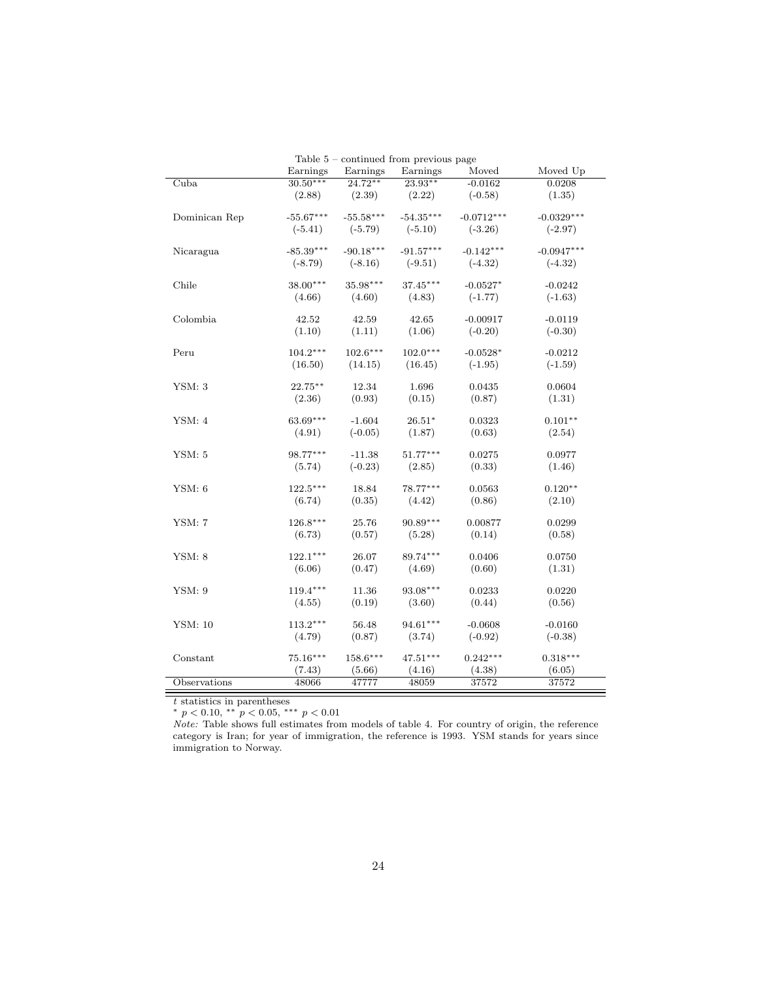|               |             |             | Table $5$ – continued from previous page |              |              |
|---------------|-------------|-------------|------------------------------------------|--------------|--------------|
|               | Earnings    | Earnings    | Earnings                                 | Moved        | Moved Up     |
| Cuba          | $30.50***$  | $24.72**$   | $23.93**$                                | $-0.0162$    | 0.0208       |
|               | (2.88)      | (2.39)      | (2.22)                                   | $(-0.58)$    | (1.35)       |
|               |             |             |                                          |              |              |
| Dominican Rep | $-55.67***$ | $-55.58***$ | $-54.35***$                              | $-0.0712***$ | $-0.0329***$ |
|               | $(-5.41)$   | $(-5.79)$   | $(-5.10)$                                | $(-3.26)$    | $(-2.97)$    |
|               |             |             |                                          |              |              |
| Nicaragua     | $-85.39***$ | $-90.18***$ | $-91.57***$                              | $-0.142***$  | $-0.0947***$ |
|               | $(-8.79)$   | $(-8.16)$   | $(-9.51)$                                | $(-4.32)$    | $(-4.32)$    |
| Chile         | $38.00***$  | 35.98***    | $37.45***$                               | $-0.0527*$   | $-0.0242$    |
|               | (4.66)      | (4.60)      | (4.83)                                   | $(-1.77)$    | $(-1.63)$    |
|               |             |             |                                          |              |              |
| Colombia      | 42.52       | 42.59       | 42.65                                    | $-0.00917$   | $-0.0119$    |
|               | (1.10)      | (1.11)      | (1.06)                                   | $(-0.20)$    | $(-0.30)$    |
|               |             |             |                                          |              |              |
| Peru          | $104.2***$  | $102.6***$  | $102.0***$                               | $-0.0528*$   | $-0.0212$    |
|               | (16.50)     | (14.15)     | (16.45)                                  | $(-1.95)$    | $(-1.59)$    |
|               |             |             |                                          |              |              |
| YSM: 3        | $22.75***$  | 12.34       | 1.696                                    | 0.0435       | 0.0604       |
|               | (2.36)      | (0.93)      | (0.15)                                   | (0.87)       | (1.31)       |
|               |             |             |                                          |              |              |
| YSM: 4        | $63.69***$  | $-1.604$    | $26.51*$                                 | 0.0323       | $0.101**$    |
|               | (4.91)      | $(-0.05)$   | (1.87)                                   | (0.63)       | (2.54)       |
| YSM: 5        | 98.77***    | $-11.38$    | $51.77***$                               | 0.0275       | 0.0977       |
|               | (5.74)      | $(-0.23)$   | (2.85)                                   | (0.33)       | (1.46)       |
|               |             |             |                                          |              |              |
| YSM: 6        | $122.5***$  | 18.84       | $78.77***$                               | 0.0563       | $0.120**$    |
|               | (6.74)      | (0.35)      | (4.42)                                   | (0.86)       | (2.10)       |
|               |             |             |                                          |              |              |
| <b>YSM: 7</b> | $126.8***$  | 25.76       | $90.89***$                               | 0.00877      | 0.0299       |
|               | (6.73)      | (0.57)      | (5.28)                                   | (0.14)       | (0.58)       |
|               |             |             |                                          |              |              |
| YSM: 8        | $122.1***$  | 26.07       | 89.74***                                 | 0.0406       | 0.0750       |
|               | (6.06)      | (0.47)      | (4.69)                                   | (0.60)       | (1.31)       |
|               |             |             | $93.08***$                               |              |              |
| YSM: 9        | $119.4***$  | 11.36       |                                          | 0.0233       | 0.0220       |
|               | (4.55)      | (0.19)      | (3.60)                                   | (0.44)       | (0.56)       |
| YSM: 10       | $113.2***$  | 56.48       | $94.61***$                               | $-0.0608$    | $-0.0160$    |
|               | (4.79)      | (0.87)      | (3.74)                                   | $(-0.92)$    | $(-0.38)$    |
|               |             |             |                                          |              |              |
| Constant      | $75.16***$  | $158.6***$  | $47.51***$                               | $0.242***$   | $0.318***$   |
|               | (7.43)      | (5.66)      | (4.16)                                   | (4.38)       | (6.05)       |
| Observations  | 48066       | 47777       | 48059                                    | 37572        | 37572        |
|               |             |             |                                          |              |              |

 $Table 5$  – continued from property paintings of  $p$ 

t statistics in parentheses

\*  $p < 0.10,$  \*\*  $p < 0.05,$  \*\*\*  $p < 0.01$ 

Note: Table shows full estimates from models of table 4. For country of origin, the reference category is Iran; for year of immigration, the reference is 1993. YSM stands for years since immigration to Norway.